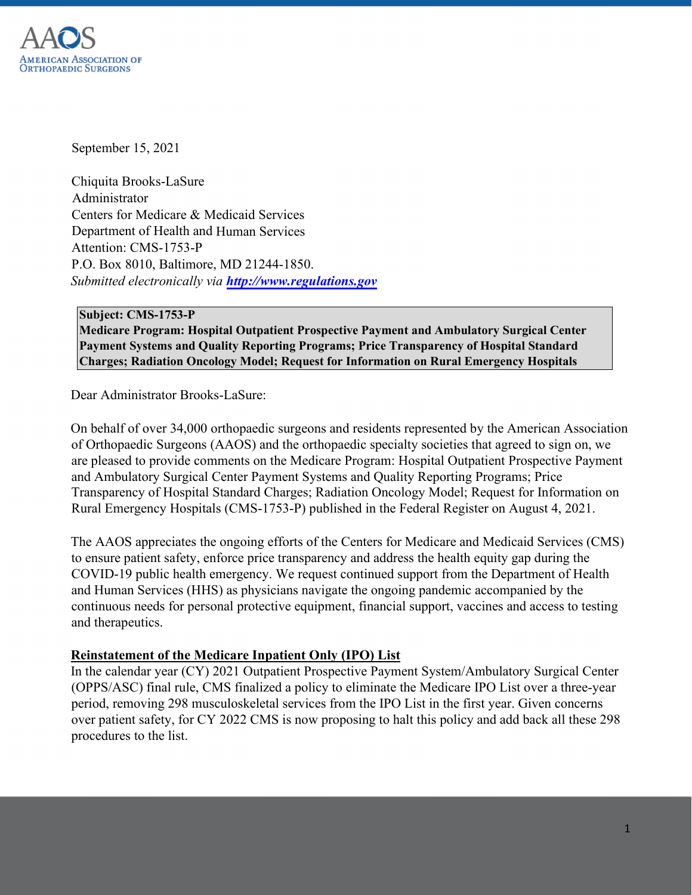

September 15, 2021

Chiquita Brooks-LaSure Administrator Centers for Medicare & Medicaid Services Department of Health and Human Services Attention: CMS-1753-P P.O. Box 8010, Baltimore, MD 21244-1850. *Submitted electronically via [http://www.regulations.gov](http://www.regulations.gov/)*

#### **Subject: CMS-1753-P**

**Medicare Program: Hospital Outpatient Prospective Payment and Ambulatory Surgical Center Payment Systems and Quality Reporting Programs; Price Transparency of Hospital Standard Charges; Radiation Oncology Model; Request for Information on Rural Emergency Hospitals**

Dear Administrator Brooks-LaSure:

On behalf of over 34,000 orthopaedic surgeons and residents represented by the American Association of Orthopaedic Surgeons (AAOS) and the orthopaedic specialty societies that agreed to sign on, we are pleased to provide comments on the Medicare Program: Hospital Outpatient Prospective Payment and Ambulatory Surgical Center Payment Systems and Quality Reporting Programs; Price Transparency of Hospital Standard Charges; Radiation Oncology Model; Request for Information on Rural Emergency Hospitals (CMS-1753-P) published in the Federal Register on August 4, 2021.

The AAOS appreciates the ongoing efforts of the Centers for Medicare and Medicaid Services (CMS) to ensure patient safety, enforce price transparency and address the health equity gap during the COVID-19 public health emergency. We request continued support from the Department of Health and Human Services (HHS) as physicians navigate the ongoing pandemic accompanied by the continuous needs for personal protective equipment, financial support, vaccines and access to testing and therapeutics.

# **Reinstatement of the Medicare Inpatient Only (IPO) List**

In the calendar year (CY) 2021 Outpatient Prospective Payment System/Ambulatory Surgical Center (OPPS/ASC) final rule, CMS finalized a policy to eliminate the Medicare IPO List over a three-year period, removing 298 musculoskeletal services from the IPO List in the first year. Given concerns over patient safety, for CY 2022 CMS is now proposing to halt this policy and add back all these 298 procedures to the list.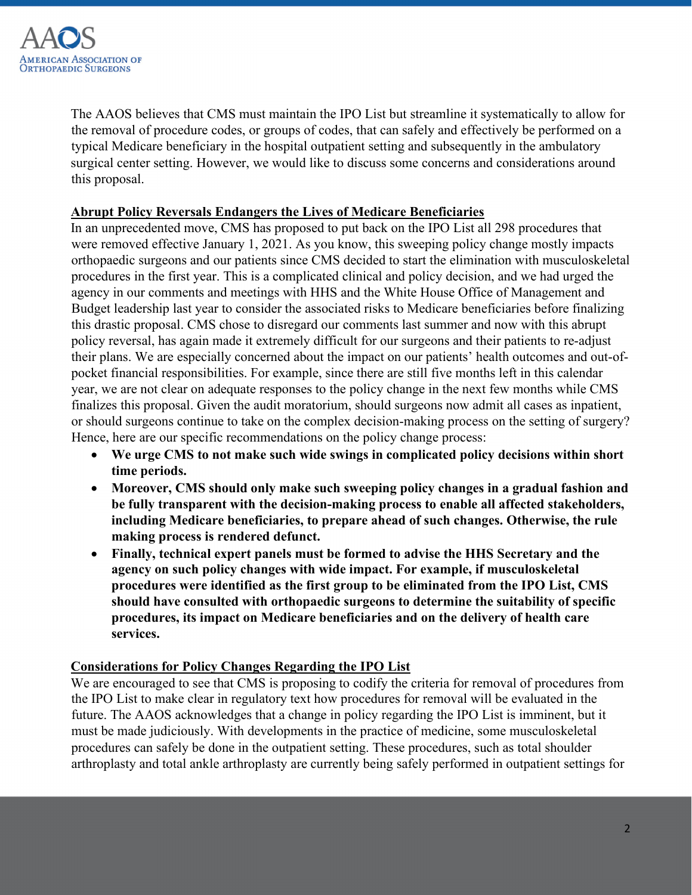

The AAOS believes that CMS must maintain the IPO List but streamline it systematically to allow for the removal of procedure codes, or groups of codes, that can safely and effectively be performed on a typical Medicare beneficiary in the hospital outpatient setting and subsequently in the ambulatory surgical center setting. However, we would like to discuss some concerns and considerations around this proposal.

## **Abrupt Policy Reversals Endangers the Lives of Medicare Beneficiaries**

In an unprecedented move, CMS has proposed to put back on the IPO List all 298 procedures that were removed effective January 1, 2021. As you know, this sweeping policy change mostly impacts orthopaedic surgeons and our patients since CMS decided to start the elimination with musculoskeletal procedures in the first year. This is a complicated clinical and policy decision, and we had urged the agency in our comments and meetings with HHS and the White House Office of Management and Budget leadership last year to consider the associated risks to Medicare beneficiaries before finalizing this drastic proposal. CMS chose to disregard our comments last summer and now with this abrupt policy reversal, has again made it extremely difficult for our surgeons and their patients to re-adjust their plans. We are especially concerned about the impact on our patients' health outcomes and out-ofpocket financial responsibilities. For example, since there are still five months left in this calendar year, we are not clear on adequate responses to the policy change in the next few months while CMS finalizes this proposal. Given the audit moratorium, should surgeons now admit all cases as inpatient, or should surgeons continue to take on the complex decision-making process on the setting of surgery? Hence, here are our specific recommendations on the policy change process:

- **We urge CMS to not make such wide swings in complicated policy decisions within short time periods.**
- **Moreover, CMS should only make such sweeping policy changes in a gradual fashion and be fully transparent with the decision-making process to enable all affected stakeholders, including Medicare beneficiaries, to prepare ahead of such changes. Otherwise, the rule making process is rendered defunct.**
- **Finally, technical expert panels must be formed to advise the HHS Secretary and the agency on such policy changes with wide impact. For example, if musculoskeletal procedures were identified as the first group to be eliminated from the IPO List, CMS should have consulted with orthopaedic surgeons to determine the suitability of specific procedures, its impact on Medicare beneficiaries and on the delivery of health care services.**

# **Considerations for Policy Changes Regarding the IPO List**

We are encouraged to see that CMS is proposing to codify the criteria for removal of procedures from the IPO List to make clear in regulatory text how procedures for removal will be evaluated in the future. The AAOS acknowledges that a change in policy regarding the IPO List is imminent, but it must be made judiciously. With developments in the practice of medicine, some musculoskeletal procedures can safely be done in the outpatient setting. These procedures, such as total shoulder arthroplasty and total ankle arthroplasty are currently being safely performed in outpatient settings for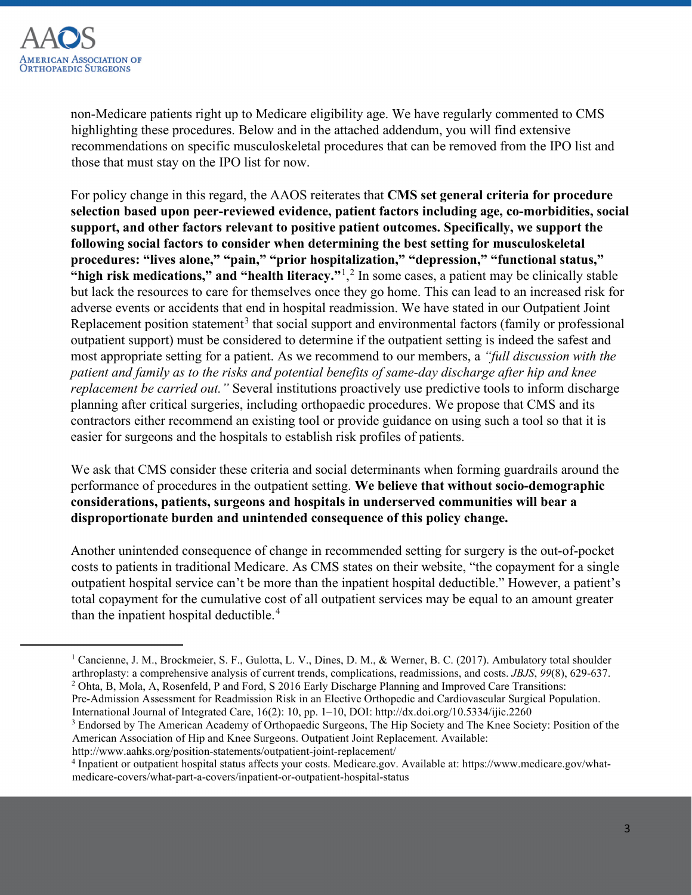

non-Medicare patients right up to Medicare eligibility age. We have regularly commented to CMS highlighting these procedures. Below and in the attached addendum, you will find extensive recommendations on specific musculoskeletal procedures that can be removed from the IPO list and those that must stay on the IPO list for now.

For policy change in this regard, the AAOS reiterates that **CMS set general criteria for procedure selection based upon peer-reviewed evidence, patient factors including age, co-morbidities, social support, and other factors relevant to positive patient outcomes. Specifically, we support the following social factors to consider when determining the best setting for musculoskeletal procedures: "lives alone," "pain," "prior hospitalization," "depression," "functional status," "high risk medications," and "health literacy."**[1](#page-2-0) , [2](#page-2-1) In some cases, a patient may be clinically stable but lack the resources to care for themselves once they go home. This can lead to an increased risk for adverse events or accidents that end in hospital readmission. We have stated in our Outpatient Joint Replacement position statement<sup>[3](#page-2-2)</sup> that social support and environmental factors (family or professional outpatient support) must be considered to determine if the outpatient setting is indeed the safest and most appropriate setting for a patient. As we recommend to our members, a *"full discussion with the patient and family as to the risks and potential benefits of same-day discharge after hip and knee replacement be carried out."* Several institutions proactively use predictive tools to inform discharge planning after critical surgeries, including orthopaedic procedures. We propose that CMS and its contractors either recommend an existing tool or provide guidance on using such a tool so that it is easier for surgeons and the hospitals to establish risk profiles of patients.

We ask that CMS consider these criteria and social determinants when forming guardrails around the performance of procedures in the outpatient setting. **We believe that without socio-demographic considerations, patients, surgeons and hospitals in underserved communities will bear a disproportionate burden and unintended consequence of this policy change.**

Another unintended consequence of change in recommended setting for surgery is the out-of-pocket costs to patients in traditional Medicare. As CMS states on their website, "the copayment for a single outpatient hospital service can't be more than the inpatient hospital deductible." However, a patient's total copayment for the cumulative cost of all outpatient services may be equal to an amount greater than the inpatient hospital deductible.<sup>[4](#page-2-3)</sup>

<span id="page-2-0"></span><sup>&</sup>lt;sup>1</sup> Cancienne, J. M., Brockmeier, S. F., Gulotta, L. V., Dines, D. M., & Werner, B. C. (2017). Ambulatory total shoulder arthroplasty: a comprehensive analysis of current trends, complications, readmissions, and costs. *JBJS*, *99*(8), 629-637. <sup>2</sup> Ohta, B, Mola, A, Rosenfeld, P and Ford, S 2016 Early Discharge Planning and Improved Care Transitions:

<span id="page-2-1"></span>Pre-Admission Assessment for Readmission Risk in an Elective Orthopedic and Cardiovascular Surgical Population. International Journal of Integrated Care, 16(2): 10, pp. 1–10, DOI: http://dx.doi.org/10.5334/ijic.2260

<span id="page-2-2"></span><sup>&</sup>lt;sup>3</sup> Endorsed by The American Academy of Orthopaedic Surgeons, The Hip Society and The Knee Society: Position of the American Association of Hip and Knee Surgeons. Outpatient Joint Replacement. Available:

http://www.aahks.org/position-statements/outpatient-joint-replacement/

<span id="page-2-3"></span><sup>4</sup> Inpatient or outpatient hospital status affects your costs. Medicare.gov. Available at: https://www.medicare.gov/whatmedicare-covers/what-part-a-covers/inpatient-or-outpatient-hospital-status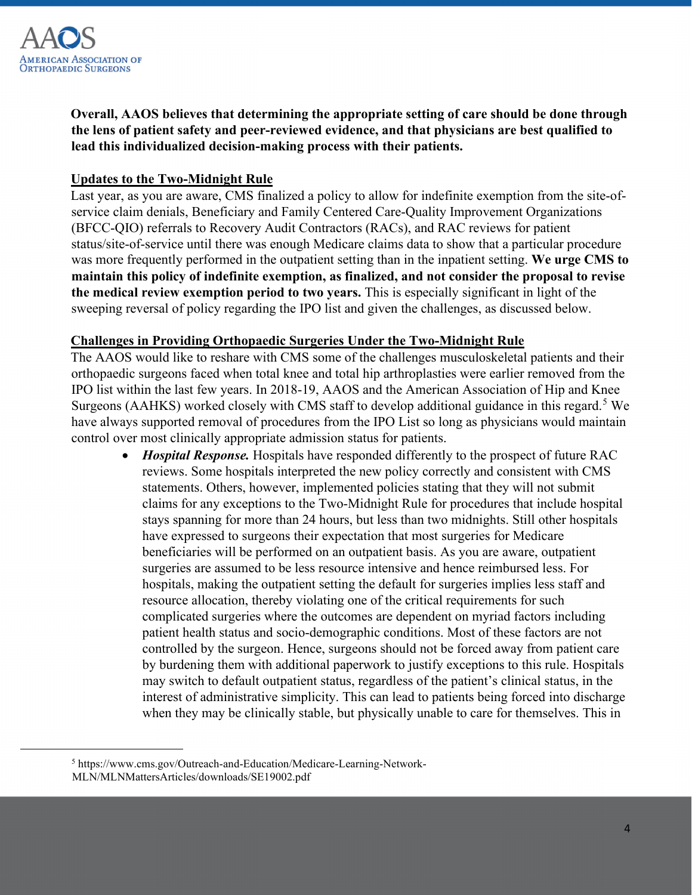

**Overall, AAOS believes that determining the appropriate setting of care should be done through the lens of patient safety and peer-reviewed evidence, and that physicians are best qualified to lead this individualized decision-making process with their patients.**

## **Updates to the Two-Midnight Rule**

Last year, as you are aware, CMS finalized a policy to allow for indefinite exemption from the site-ofservice claim denials, Beneficiary and Family Centered Care-Quality Improvement Organizations (BFCC-QIO) referrals to Recovery Audit Contractors (RACs), and RAC reviews for patient status/site-of-service until there was enough Medicare claims data to show that a particular procedure was more frequently performed in the outpatient setting than in the inpatient setting. **We urge CMS to maintain this policy of indefinite exemption, as finalized, and not consider the proposal to revise the medical review exemption period to two years.** This is especially significant in light of the sweeping reversal of policy regarding the IPO list and given the challenges, as discussed below.

#### **Challenges in Providing Orthopaedic Surgeries Under the Two-Midnight Rule**

The AAOS would like to reshare with CMS some of the challenges musculoskeletal patients and their orthopaedic surgeons faced when total knee and total hip arthroplasties were earlier removed from the IPO list within the last few years. In 2018-19, AAOS and the American Association of Hip and Knee Surgeons (AAHKS) worked closely with CMS staff to develop additional guidance in this regard.<sup>[5](#page-3-0)</sup> We have always supported removal of procedures from the IPO List so long as physicians would maintain control over most clinically appropriate admission status for patients.

• *Hospital Response*. Hospitals have responded differently to the prospect of future RAC reviews. Some hospitals interpreted the new policy correctly and consistent with CMS statements. Others, however, implemented policies stating that they will not submit claims for any exceptions to the Two-Midnight Rule for procedures that include hospital stays spanning for more than 24 hours, but less than two midnights. Still other hospitals have expressed to surgeons their expectation that most surgeries for Medicare beneficiaries will be performed on an outpatient basis. As you are aware, outpatient surgeries are assumed to be less resource intensive and hence reimbursed less. For hospitals, making the outpatient setting the default for surgeries implies less staff and resource allocation, thereby violating one of the critical requirements for such complicated surgeries where the outcomes are dependent on myriad factors including patient health status and socio-demographic conditions. Most of these factors are not controlled by the surgeon. Hence, surgeons should not be forced away from patient care by burdening them with additional paperwork to justify exceptions to this rule. Hospitals may switch to default outpatient status, regardless of the patient's clinical status, in the interest of administrative simplicity. This can lead to patients being forced into discharge when they may be clinically stable, but physically unable to care for themselves. This in

<span id="page-3-0"></span><sup>5</sup> https://www.cms.gov/Outreach-and-Education/Medicare-Learning-Network-MLN/MLNMattersArticles/downloads/SE19002.pdf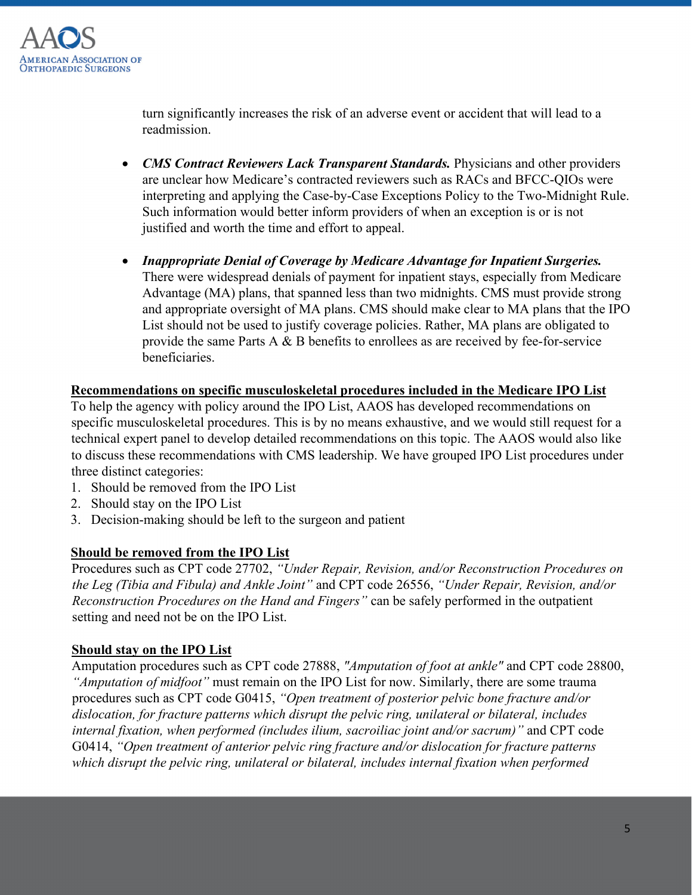

turn significantly increases the risk of an adverse event or accident that will lead to a readmission.

- *CMS Contract Reviewers Lack Transparent Standards.* Physicians and other providers are unclear how Medicare's contracted reviewers such as RACs and BFCC-QIOs were interpreting and applying the Case-by-Case Exceptions Policy to the Two-Midnight Rule. Such information would better inform providers of when an exception is or is not justified and worth the time and effort to appeal.
- *Inappropriate Denial of Coverage by Medicare Advantage for Inpatient Surgeries.* There were widespread denials of payment for inpatient stays, especially from Medicare Advantage (MA) plans, that spanned less than two midnights. CMS must provide strong and appropriate oversight of MA plans. CMS should make clear to MA plans that the IPO List should not be used to justify coverage policies. Rather, MA plans are obligated to provide the same Parts A & B benefits to enrollees as are received by fee-for-service beneficiaries.

## **Recommendations on specific musculoskeletal procedures included in the Medicare IPO List**

To help the agency with policy around the IPO List, AAOS has developed recommendations on specific musculoskeletal procedures. This is by no means exhaustive, and we would still request for a technical expert panel to develop detailed recommendations on this topic. The AAOS would also like to discuss these recommendations with CMS leadership. We have grouped IPO List procedures under three distinct categories:

- 1. Should be removed from the IPO List
- 2. Should stay on the IPO List
- 3. Decision-making should be left to the surgeon and patient

# **Should be removed from the IPO List**

Procedures such as CPT code 27702, *"Under Repair, Revision, and/or Reconstruction Procedures on the Leg (Tibia and Fibula) and Ankle Joint"* and CPT code 26556, *"Under Repair, Revision, and/or Reconstruction Procedures on the Hand and Fingers"* can be safely performed in the outpatient setting and need not be on the IPO List.

#### **Should stay on the IPO List**

Amputation procedures such as CPT code 27888, *"Amputation of foot at ankle"* and CPT code 28800, *"Amputation of midfoot"* must remain on the IPO List for now. Similarly, there are some trauma procedures such as CPT code G0415, *"Open treatment of posterior pelvic bone fracture and/or dislocation, for fracture patterns which disrupt the pelvic ring, unilateral or bilateral, includes internal fixation, when performed (includes ilium, sacroiliac joint and/or sacrum)"* and CPT code G0414, *"Open treatment of anterior pelvic ring fracture and/or dislocation for fracture patterns which disrupt the pelvic ring, unilateral or bilateral, includes internal fixation when performed*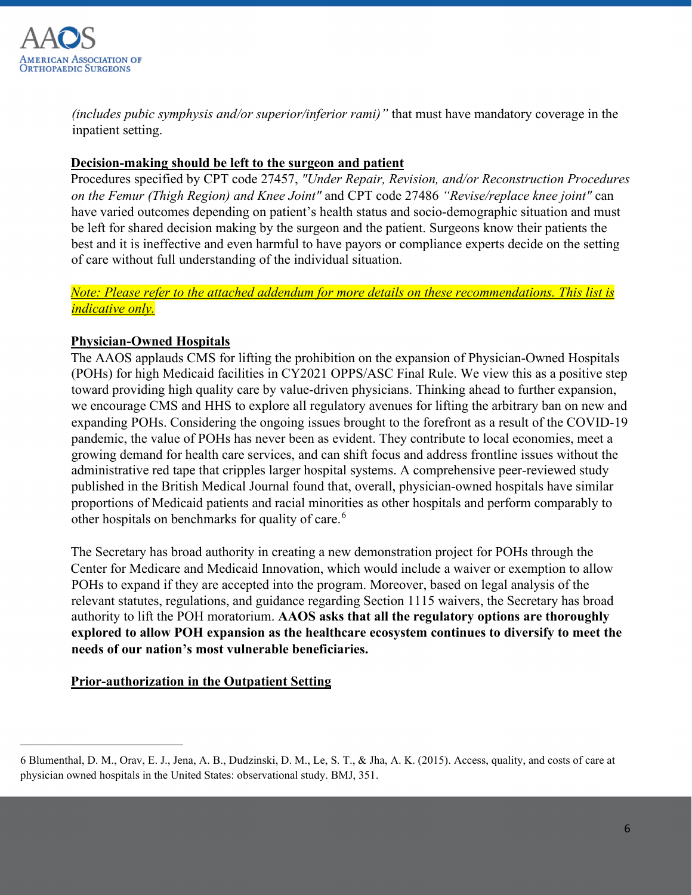

*(includes pubic symphysis and/or superior/inferior rami)"* that must have mandatory coverage in the inpatient setting.

# **Decision-making should be left to the surgeon and patient**

Procedures specified by CPT code 27457, *"Under Repair, Revision, and/or Reconstruction Procedures on the Femur (Thigh Region) and Knee Joint"* and CPT code 27486 *"Revise/replace knee joint"* can have varied outcomes depending on patient's health status and socio-demographic situation and must be left for shared decision making by the surgeon and the patient. Surgeons know their patients the best and it is ineffective and even harmful to have payors or compliance experts decide on the setting of care without full understanding of the individual situation.

# *Note: Please refer to the attached addendum for more details on these recommendations. This list is indicative only.*

# **Physician-Owned Hospitals**

The AAOS applauds CMS for lifting the prohibition on the expansion of Physician-Owned Hospitals (POHs) for high Medicaid facilities in CY2021 OPPS/ASC Final Rule. We view this as a positive step toward providing high quality care by value-driven physicians. Thinking ahead to further expansion, we encourage CMS and HHS to explore all regulatory avenues for lifting the arbitrary ban on new and expanding POHs. Considering the ongoing issues brought to the forefront as a result of the COVID-19 pandemic, the value of POHs has never been as evident. They contribute to local economies, meet a growing demand for health care services, and can shift focus and address frontline issues without the administrative red tape that cripples larger hospital systems. A comprehensive peer-reviewed study published in the British Medical Journal found that, overall, physician-owned hospitals have similar proportions of Medicaid patients and racial minorities as other hospitals and perform comparably to other hospitals on benchmarks for quality of care.<sup>[6](#page-5-0)</sup>

The Secretary has broad authority in creating a new demonstration project for POHs through the Center for Medicare and Medicaid Innovation, which would include a waiver or exemption to allow POHs to expand if they are accepted into the program. Moreover, based on legal analysis of the relevant statutes, regulations, and guidance regarding Section 1115 waivers, the Secretary has broad authority to lift the POH moratorium. **AAOS asks that all the regulatory options are thoroughly explored to allow POH expansion as the healthcare ecosystem continues to diversify to meet the needs of our nation's most vulnerable beneficiaries.** 

# **Prior-authorization in the Outpatient Setting**

<span id="page-5-0"></span><sup>6</sup> Blumenthal, D. M., Orav, E. J., Jena, A. B., Dudzinski, D. M., Le, S. T., & Jha, A. K. (2015). Access, quality, and costs of care at physician owned hospitals in the United States: observational study. BMJ, 351.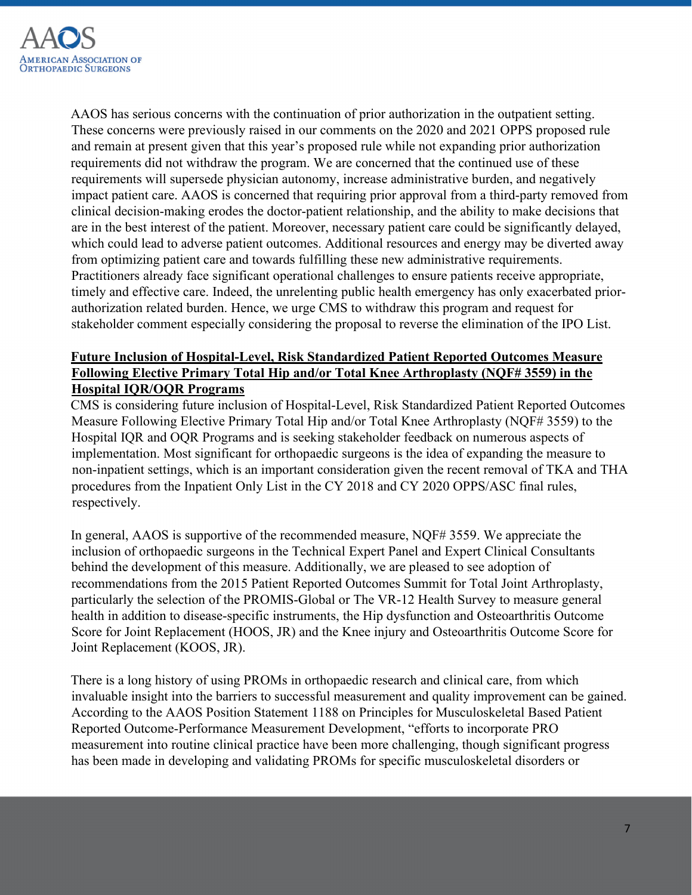

AAOS has serious concerns with the continuation of prior authorization in the outpatient setting. These concerns were previously raised in our comments on the 2020 and 2021 OPPS proposed rule and remain at present given that this year's proposed rule while not expanding prior authorization requirements did not withdraw the program. We are concerned that the continued use of these requirements will supersede physician autonomy, increase administrative burden, and negatively impact patient care. AAOS is concerned that requiring prior approval from a third-party removed from clinical decision-making erodes the doctor-patient relationship, and the ability to make decisions that are in the best interest of the patient. Moreover, necessary patient care could be significantly delayed, which could lead to adverse patient outcomes. Additional resources and energy may be diverted away from optimizing patient care and towards fulfilling these new administrative requirements. Practitioners already face significant operational challenges to ensure patients receive appropriate, timely and effective care. Indeed, the unrelenting public health emergency has only exacerbated priorauthorization related burden. Hence, we urge CMS to withdraw this program and request for stakeholder comment especially considering the proposal to reverse the elimination of the IPO List.

# **Future Inclusion of Hospital-Level, Risk Standardized Patient Reported Outcomes Measure Following Elective Primary Total Hip and/or Total Knee Arthroplasty (NQF# 3559) in the Hospital IQR/OQR Programs**

CMS is considering future inclusion of Hospital-Level, Risk Standardized Patient Reported Outcomes Measure Following Elective Primary Total Hip and/or Total Knee Arthroplasty (NQF# 3559) to the Hospital IQR and OQR Programs and is seeking stakeholder feedback on numerous aspects of implementation. Most significant for orthopaedic surgeons is the idea of expanding the measure to non-inpatient settings, which is an important consideration given the recent removal of TKA and THA procedures from the Inpatient Only List in the CY 2018 and CY 2020 OPPS/ASC final rules, respectively.

In general, AAOS is supportive of the recommended measure, NQF# 3559. We appreciate the inclusion of orthopaedic surgeons in the Technical Expert Panel and Expert Clinical Consultants behind the development of this measure. Additionally, we are pleased to see adoption of recommendations from the 2015 Patient Reported Outcomes Summit for Total Joint Arthroplasty, particularly the selection of the PROMIS-Global or The VR-12 Health Survey to measure general health in addition to disease-specific instruments, the Hip dysfunction and Osteoarthritis Outcome Score for Joint Replacement (HOOS, JR) and the Knee injury and Osteoarthritis Outcome Score for Joint Replacement (KOOS, JR).

There is a long history of using PROMs in orthopaedic research and clinical care, from which invaluable insight into the barriers to successful measurement and quality improvement can be gained. According to the AAOS Position Statement 1188 on Principles for Musculoskeletal Based Patient Reported Outcome-Performance Measurement Development, "efforts to incorporate PRO measurement into routine clinical practice have been more challenging, though significant progress has been made in developing and validating PROMs for specific musculoskeletal disorders or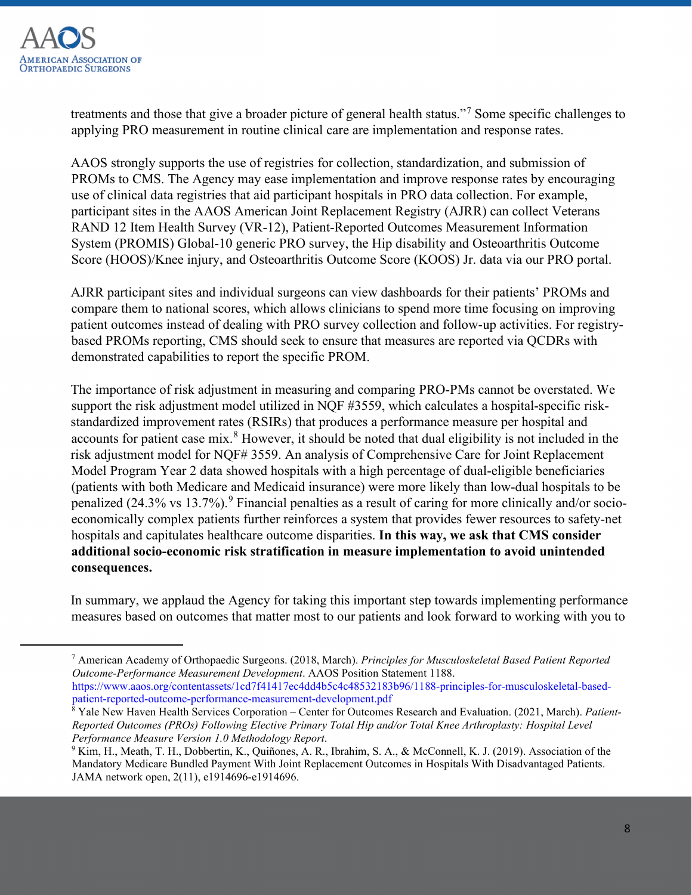

treatments and those that give a broader picture of general health status."[7](#page-7-0) Some specific challenges to applying PRO measurement in routine clinical care are implementation and response rates.

AAOS strongly supports the use of registries for collection, standardization, and submission of PROMs to CMS. The Agency may ease implementation and improve response rates by encouraging use of clinical data registries that aid participant hospitals in PRO data collection. For example, participant sites in the AAOS American Joint Replacement Registry (AJRR) can collect Veterans RAND 12 Item Health Survey (VR-12), Patient-Reported Outcomes Measurement Information System (PROMIS) Global-10 generic PRO survey, the Hip disability and Osteoarthritis Outcome Score (HOOS)/Knee injury, and Osteoarthritis Outcome Score (KOOS) Jr. data via our PRO portal.

AJRR participant sites and individual surgeons can view dashboards for their patients' PROMs and compare them to national scores, which allows clinicians to spend more time focusing on improving patient outcomes instead of dealing with PRO survey collection and follow-up activities. For registrybased PROMs reporting, CMS should seek to ensure that measures are reported via QCDRs with demonstrated capabilities to report the specific PROM.

The importance of risk adjustment in measuring and comparing PRO-PMs cannot be overstated. We support the risk adjustment model utilized in NQF #3559, which calculates a hospital-specific riskstandardized improvement rates (RSIRs) that produces a performance measure per hospital and accounts for patient case mix.<sup>[8](#page-7-1)</sup> However, it should be noted that dual eligibility is not included in the risk adjustment model for NQF# 3559. An analysis of Comprehensive Care for Joint Replacement Model Program Year 2 data showed hospitals with a high percentage of dual-eligible beneficiaries (patients with both Medicare and Medicaid insurance) were more likely than low-dual hospitals to be penalized  $(24.3\% \text{ vs } 13.7\%)$ . Financial penalties as a result of caring for more clinically and/or socioeconomically complex patients further reinforces a system that provides fewer resources to safety-net hospitals and capitulates healthcare outcome disparities. **In this way, we ask that CMS consider additional socio-economic risk stratification in measure implementation to avoid unintended consequences.** 

In summary, we applaud the Agency for taking this important step towards implementing performance measures based on outcomes that matter most to our patients and look forward to working with you to

<span id="page-7-0"></span><sup>7</sup> American Academy of Orthopaedic Surgeons. (2018, March). *Principles for Musculoskeletal Based Patient Reported Outcome-Performance Measurement Development*. AAOS Position Statement 1188. https://www.aaos.org/contentassets/1cd7f41417ec4dd4b5c4c48532183b96/1188-principles-for-musculoskeletal-based-

patient-reported-outcome-performance-measurement-development.pdf 8 Yale New Haven Health Services Corporation – Center for Outcomes Research and Evaluation. (2021, March). *Patient-*

<span id="page-7-1"></span>*Reported Outcomes (PROs) Following Elective Primary Total Hip and/or Total Knee Arthroplasty: Hospital Level Performance Measure Version 1.0 Methodology Report*.<br><sup>9</sup> Kim, H., Meath, T. H., Dobbertin, K., Quiñones, A. R., Ibrahim, S. A., & McConnell, K. J. (2019). Association of the

<span id="page-7-2"></span>Mandatory Medicare Bundled Payment With Joint Replacement Outcomes in Hospitals With Disadvantaged Patients. JAMA network open, 2(11), e1914696-e1914696.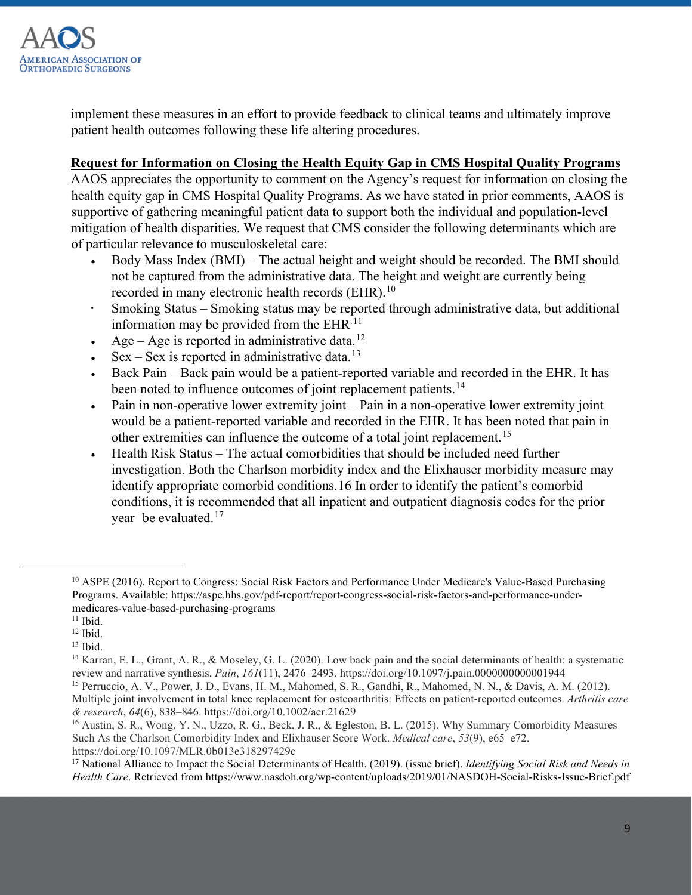

implement these measures in an effort to provide feedback to clinical teams and ultimately improve patient health outcomes following these life altering procedures.

## **Request for Information on Closing the Health Equity Gap in CMS Hospital Quality Programs**

AAOS appreciates the opportunity to comment on the Agency's request for information on closing the health equity gap in CMS Hospital Quality Programs. As we have stated in prior comments, AAOS is supportive of gathering meaningful patient data to support both the individual and population-level mitigation of health disparities. We request that CMS consider the following determinants which are of particular relevance to musculoskeletal care:

- Body Mass Index (BMI) The actual height and weight should be recorded. The BMI should not be captured from the administrative data. The height and weight are currently being recorded in many electronic health records (EHR).<sup>[10](#page-8-0)</sup>
- Smoking Status Smoking status may be reported through administrative data, but additional information may be provided from the  $EHR<sup>.11</sup>$  $EHR<sup>.11</sup>$  $EHR<sup>.11</sup>$
- Age Age is reported in administrative data.<sup>[12](#page-8-2)</sup>
- $Sex Sex$  is reported in administrative data.<sup>[13](#page-8-3)</sup>
- Back Pain Back pain would be a patient-reported variable and recorded in the EHR. It has been noted to influence outcomes of joint replacement patients.<sup>[14](#page-8-4)</sup>
- Pain in non-operative lower extremity joint Pain in a non-operative lower extremity joint would be a patient-reported variable and recorded in the EHR. It has been noted that pain in other extremities can influence the outcome of a total joint replacement.[15](#page-8-5)
- Health Risk Status The actual comorbidities that should be included need further investigation. Both the Charlson morbidity index and the Elixhauser morbidity measure may identify appropriate comorbid conditions.[16](#page-8-6) In order to identify the patient's comorbid conditions, it is recommended that all inpatient and outpatient diagnosis codes for the prior year be evaluated.[17](#page-8-7)

<span id="page-8-0"></span><sup>&</sup>lt;sup>10</sup> ASPE (2016). Report to Congress: Social Risk Factors and Performance Under Medicare's Value-Based Purchasing Programs. Available: https://aspe.hhs.gov/pdf-report/report-congress-social-risk-factors-and-performance-undermedicares-value-based-purchasing-programs 11 Ibid.

<span id="page-8-2"></span><span id="page-8-1"></span> $12$  Ibid.

<span id="page-8-3"></span> $13$  Ibid.

<span id="page-8-4"></span><sup>14</sup> Karran, E. L., Grant, A. R., & Moseley, G. L. (2020). Low back pain and the social determinants of health: a systematic review and narrative synthesis. *Pain*, *161*(11), 2476–2493. https://doi.org/10.1097/j.pain.0000000000001944

<span id="page-8-5"></span><sup>15</sup> Perruccio, A. V., Power, J. D., Evans, H. M., Mahomed, S. R., Gandhi, R., Mahomed, N. N., & Davis, A. M. (2012). Multiple joint involvement in total knee replacement for osteoarthritis: Effects on patient-reported outcomes. *Arthritis care & research*, *64*(6), 838–846. https://doi.org/10.1002/acr.21629

<span id="page-8-6"></span><sup>16</sup> Austin, S. R., Wong, Y. N., Uzzo, R. G., Beck, J. R., & Egleston, B. L. (2015). Why Summary Comorbidity Measures Such As the Charlson Comorbidity Index and Elixhauser Score Work. *Medical care*, *53*(9), e65–e72. https://doi.org/10.1097/MLR.0b013e318297429c

<span id="page-8-7"></span><sup>17</sup> National Alliance to Impact the Social Determinants of Health. (2019). (issue brief). *Identifying Social Risk and Needs in Health Care*. Retrieved from https://www.nasdoh.org/wp-content/uploads/2019/01/NASDOH-Social-Risks-Issue-Brief.pdf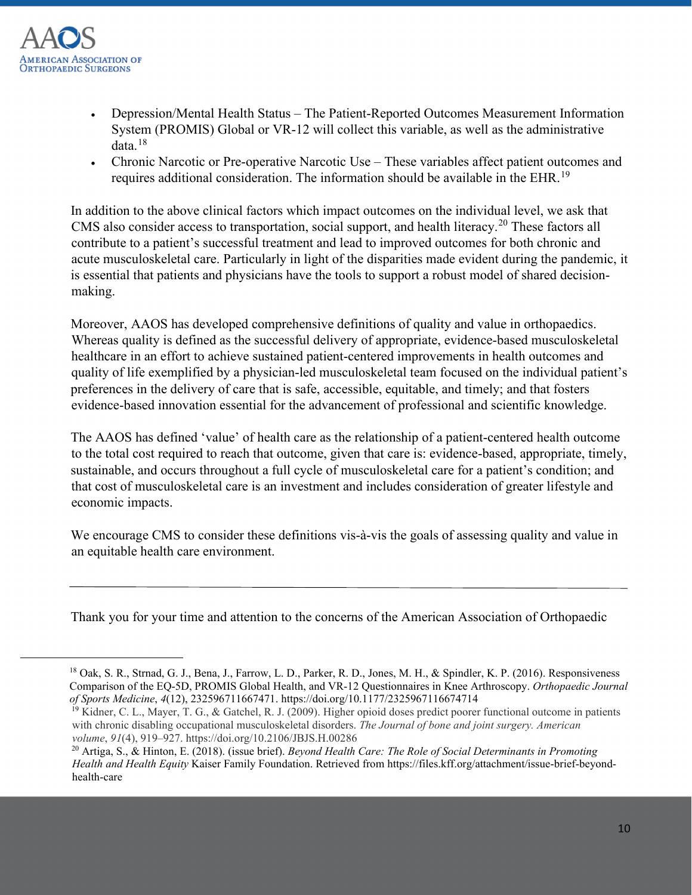

- Depression/Mental Health Status The Patient-Reported Outcomes Measurement Information System (PROMIS) Global or VR-12 will collect this variable, as well as the administrative data.[18](#page-9-0)
- Chronic Narcotic or Pre-operative Narcotic Use These variables affect patient outcomes and requires additional consideration. The information should be available in the EHR.[19](#page-9-1)

In addition to the above clinical factors which impact outcomes on the individual level, we ask that CMS also consider access to transportation, social support, and health literacy.<sup>[20](#page-9-2)</sup> These factors all contribute to a patient's successful treatment and lead to improved outcomes for both chronic and acute musculoskeletal care. Particularly in light of the disparities made evident during the pandemic, it is essential that patients and physicians have the tools to support a robust model of shared decisionmaking.

Moreover, AAOS has developed comprehensive definitions of quality and value in orthopaedics. Whereas quality is defined as the successful delivery of appropriate, evidence-based musculoskeletal healthcare in an effort to achieve sustained patient-centered improvements in health outcomes and quality of life exemplified by a physician-led musculoskeletal team focused on the individual patient's preferences in the delivery of care that is safe, accessible, equitable, and timely; and that fosters evidence-based innovation essential for the advancement of professional and scientific knowledge.

The AAOS has defined 'value' of health care as the relationship of a patient-centered health outcome to the total cost required to reach that outcome, given that care is: evidence-based, appropriate, timely, sustainable, and occurs throughout a full cycle of musculoskeletal care for a patient's condition; and that cost of musculoskeletal care is an investment and includes consideration of greater lifestyle and economic impacts.

We encourage CMS to consider these definitions vis-à-vis the goals of assessing quality and value in an equitable health care environment.

Thank you for your time and attention to the concerns of the American Association of Orthopaedic

<span id="page-9-0"></span> <sup>18</sup> Oak, S. R., Strnad, G. J., Bena, J., Farrow, L. D., Parker, R. D., Jones, M. H., & Spindler, K. P. (2016). Responsiveness Comparison of the EQ-5D, PROMIS Global Health, and VR-12 Questionnaires in Knee Arthroscopy. *Orthopaedic Journal of Sports Medicine*, *4*(12), 232596711667471. https://doi.org/10.1177/2325967116674714<br><sup>19</sup> Kidner, C. L., Mayer, T. G., & Gatchel, R. J. (2009). Higher opioid doses predict poorer functional outcome in patients

<span id="page-9-1"></span>with chronic disabling occupational musculoskeletal disorders. *The Journal of bone and joint surgery. American volume*, *91*(4), 919–927. https://doi.org/10.2106/JBJS.H.00286

<span id="page-9-2"></span><sup>20</sup> Artiga, S., & Hinton, E. (2018). (issue brief). *Beyond Health Care: The Role of Social Determinants in Promoting Health and Health Equity* Kaiser Family Foundation. Retrieved from https://files.kff.org/attachment/issue-brief-beyondhealth-care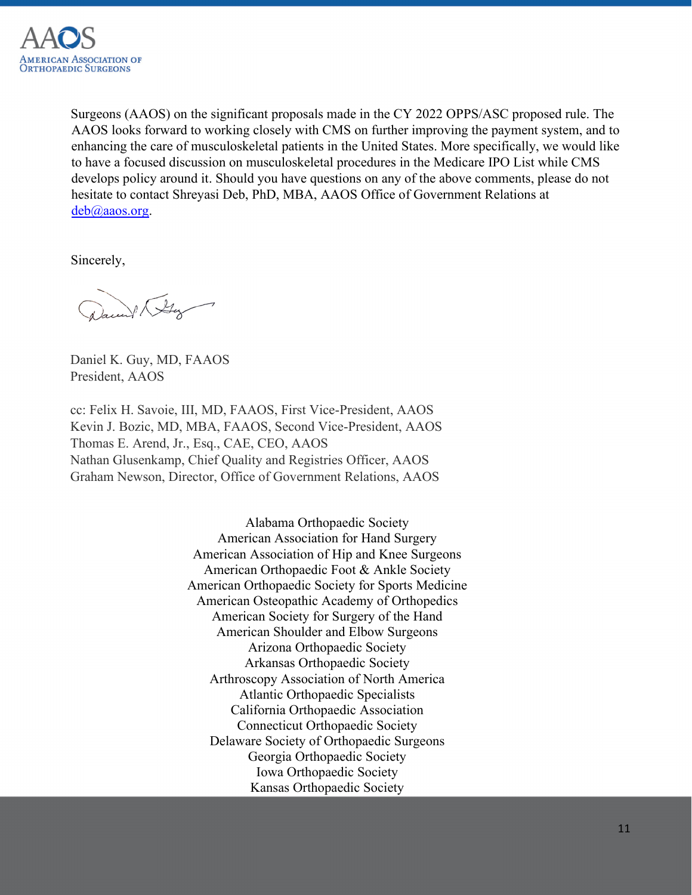

Surgeons (AAOS) on the significant proposals made in the CY 2022 OPPS/ASC proposed rule. The AAOS looks forward to working closely with CMS on further improving the payment system, and to enhancing the care of musculoskeletal patients in the United States. More specifically, we would like to have a focused discussion on musculoskeletal procedures in the Medicare IPO List while CMS develops policy around it. Should you have questions on any of the above comments, please do not hesitate to contact Shreyasi Deb, PhD, MBA, AAOS Office of Government Relations at deb@aaos.org.

Sincerely,

Ville

Daniel K. Guy, MD, FAAOS President, AAOS

cc: Felix H. Savoie, III, MD, FAAOS, First Vice-President, AAOS Kevin J. Bozic, MD, MBA, FAAOS, Second Vice-President, AAOS Thomas E. Arend, Jr., Esq., CAE, CEO, AAOS Nathan Glusenkamp, Chief Quality and Registries Officer, AAOS Graham Newson, Director, Office of Government Relations, AAOS

> Alabama Orthopaedic Society American Association for Hand Surgery American Association of Hip and Knee Surgeons American Orthopaedic Foot & Ankle Society American Orthopaedic Society for Sports Medicine American Osteopathic Academy of Orthopedics American Society for Surgery of the Hand American Shoulder and Elbow Surgeons Arizona Orthopaedic Society Arkansas Orthopaedic Society Arthroscopy Association of North America Atlantic Orthopaedic Specialists California Orthopaedic Association Connecticut Orthopaedic Society Delaware Society of Orthopaedic Surgeons Georgia Orthopaedic Society Iowa Orthopaedic Society Kansas Orthopaedic Society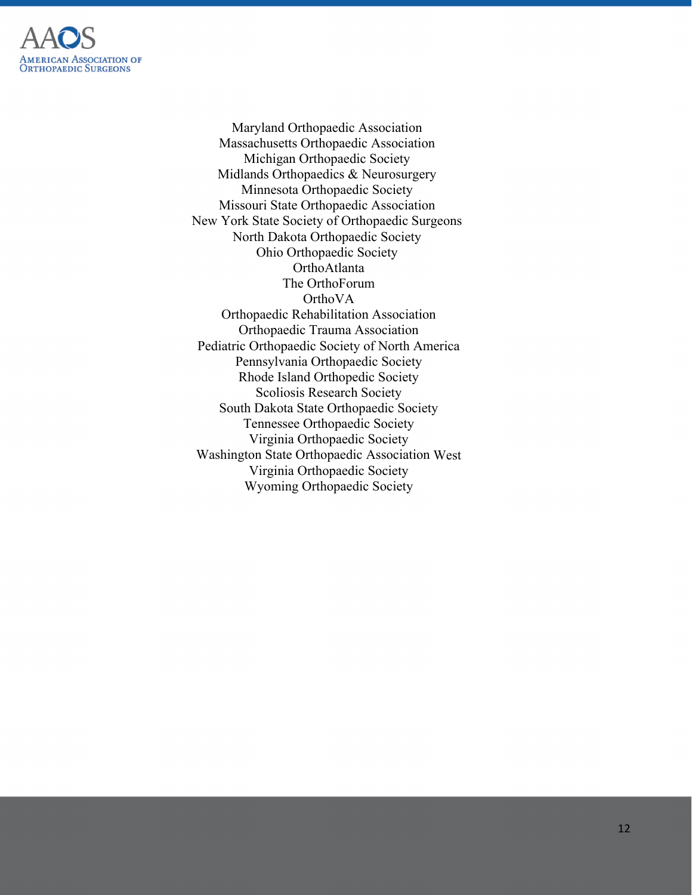

Maryland Orthopaedic Association Massachusetts Orthopaedic Association Michigan Orthopaedic Society Midlands Orthopaedics & Neurosurgery Minnesota Orthopaedic Society Missouri State Orthopaedic Association New York State Society of Orthopaedic Surgeons North Dakota Orthopaedic Society Ohio Orthopaedic Society OrthoAtlanta The OrthoForum OrthoVA Orthopaedic Rehabilitation Association Orthopaedic Trauma Association Pediatric Orthopaedic Society of North America Pennsylvania Orthopaedic Society Rhode Island Orthopedic Society Scoliosis Research Society South Dakota State Orthopaedic Society Tennessee Orthopaedic Society Virginia Orthopaedic Society Washington State Orthopaedic Association West Virginia Orthopaedic Society Wyoming Orthopaedic Society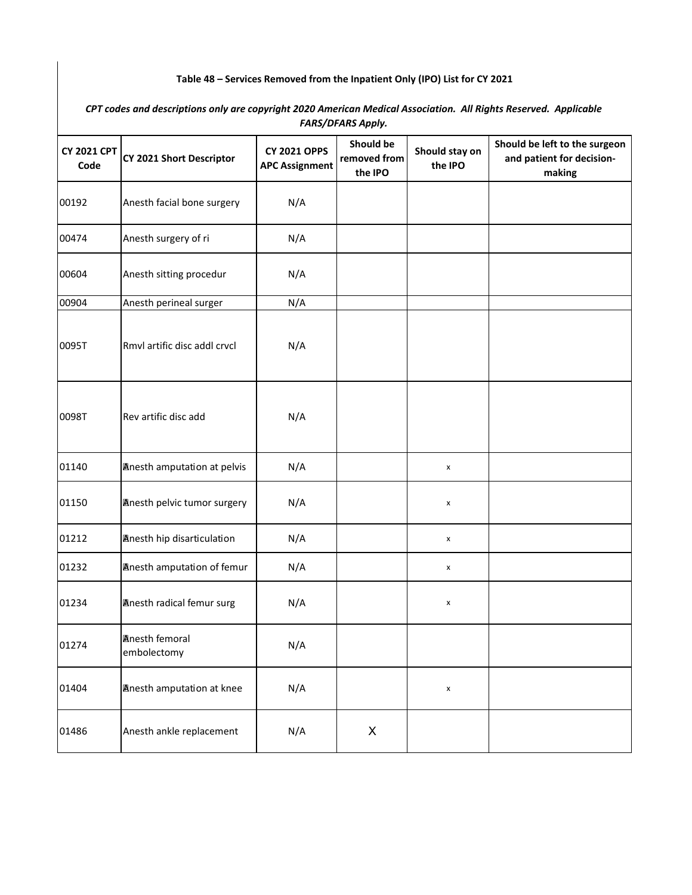## **Table 48 – Services Removed from the Inpatient Only (IPO) List for CY 2021**

*CPT codes and descriptions only are copyright 2020 American Medical Association. All Rights Reserved. Applicable FARS/DFARS Apply.* 

| <b>CY 2021 CPT</b><br>Code | CY 2021 Short Descriptor             | <b>CY 2021 OPPS</b><br><b>APC Assignment</b> | Should be<br>removed from<br>the IPO | Should stay on<br>the IPO | Should be left to the surgeon<br>and patient for decision-<br>making |
|----------------------------|--------------------------------------|----------------------------------------------|--------------------------------------|---------------------------|----------------------------------------------------------------------|
| 00192                      | Anesth facial bone surgery           | N/A                                          |                                      |                           |                                                                      |
| 00474                      | Anesth surgery of ri                 | N/A                                          |                                      |                           |                                                                      |
| 00604                      | Anesth sitting procedur              | N/A                                          |                                      |                           |                                                                      |
| 00904                      | Anesth perineal surger               | N/A                                          |                                      |                           |                                                                      |
| 0095T                      | Rmvl artific disc addl crvcl         | N/A                                          |                                      |                           |                                                                      |
| 0098T                      | Rev artific disc add                 | N/A                                          |                                      |                           |                                                                      |
| 01140                      | <b>Anesth amputation at pelvis</b>   | N/A                                          |                                      | x                         |                                                                      |
| 01150                      | <b>Anesth pelvic tumor surgery</b>   | N/A                                          |                                      | X                         |                                                                      |
| 01212                      | <b>Anesth hip disarticulation</b>    | N/A                                          |                                      | x                         |                                                                      |
| 01232                      | <b>Anesth amputation of femur</b>    | N/A                                          |                                      | x                         |                                                                      |
| 01234                      | <b>Anesth radical femur surg</b>     | N/A                                          |                                      | x                         |                                                                      |
| 01274                      | <b>Anesth femoral</b><br>embolectomy | N/A                                          |                                      |                           |                                                                      |
| 01404                      | <b>Anesth amputation at knee</b>     | N/A                                          |                                      | $\pmb{\mathsf{x}}$        |                                                                      |
| 01486                      | Anesth ankle replacement             | N/A                                          | X                                    |                           |                                                                      |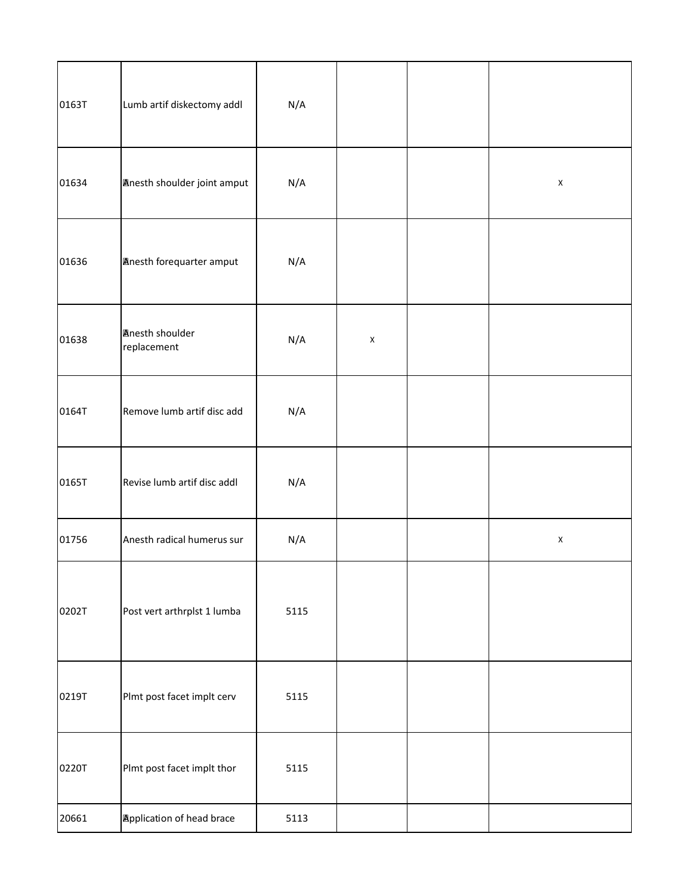| 0163T | Lumb artif diskectomy addl            | N/A  |             |             |
|-------|---------------------------------------|------|-------------|-------------|
| 01634 | Anesth shoulder joint amput           | N/A  |             | $\mathsf X$ |
| 01636 | <b>Anesth forequarter amput</b>       | N/A  |             |             |
| 01638 | <b>Anesth shoulder</b><br>replacement | N/A  | $\mathsf X$ |             |
| 0164T | Remove lumb artif disc add            | N/A  |             |             |
| 0165T | Revise lumb artif disc addl           | N/A  |             |             |
| 01756 | Anesth radical humerus sur            | N/A  |             | $\mathsf X$ |
| 0202T | Post vert arthrplst 1 lumba           | 5115 |             |             |
| 0219T | Plmt post facet implt cerv            | 5115 |             |             |
| 0220T | Plmt post facet implt thor            | 5115 |             |             |
| 20661 | <b>Application of head brace</b>      | 5113 |             |             |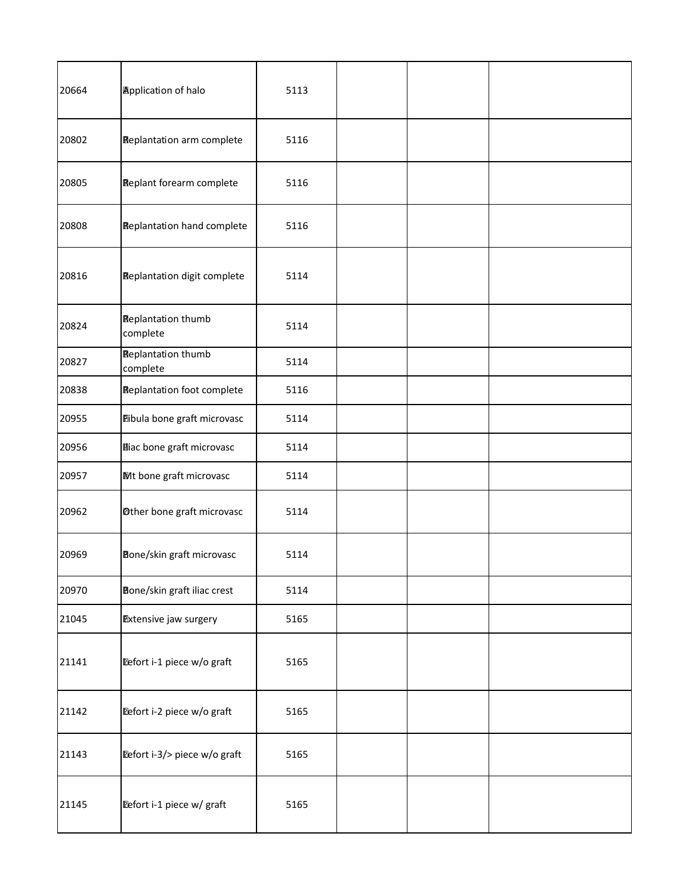| 20664 | <b>Application of halo</b>            | 5113 |  |  |
|-------|---------------------------------------|------|--|--|
| 20802 | <b>Replantation arm complete</b>      | 5116 |  |  |
| 20805 | <b>Replant forearm complete</b>       | 5116 |  |  |
| 20808 | <b>Replantation hand complete</b>     | 5116 |  |  |
| 20816 | <b>Replantation digit complete</b>    | 5114 |  |  |
| 20824 | <b>Replantation thumb</b><br>complete | 5114 |  |  |
| 20827 | <b>Replantation thumb</b><br>complete | 5114 |  |  |
| 20838 | <b>Replantation foot complete</b>     | 5116 |  |  |
| 20955 | Dibula bone graft microvasc           | 5114 |  |  |
| 20956 | <b>Miac bone graft microvasc</b>      | 5114 |  |  |
| 20957 | Mt bone graft microvasc               | 5114 |  |  |
| 20962 | <b>Other bone graft microvasc</b>     | 5114 |  |  |
| 20969 | Bone/skin graft microvasc             | 5114 |  |  |
| 20970 | Bone/skin graft iliac crest           | 5114 |  |  |
| 21045 | <b>Extensive jaw surgery</b>          | 5165 |  |  |
| 21141 | Defort i-1 piece w/o graft            | 5165 |  |  |
| 21142 | Defort i-2 piece w/o graft            | 5165 |  |  |
| 21143 | Defort i-3/> piece w/o graft          | 5165 |  |  |
| 21145 | Defort i-1 piece w/ graft             | 5165 |  |  |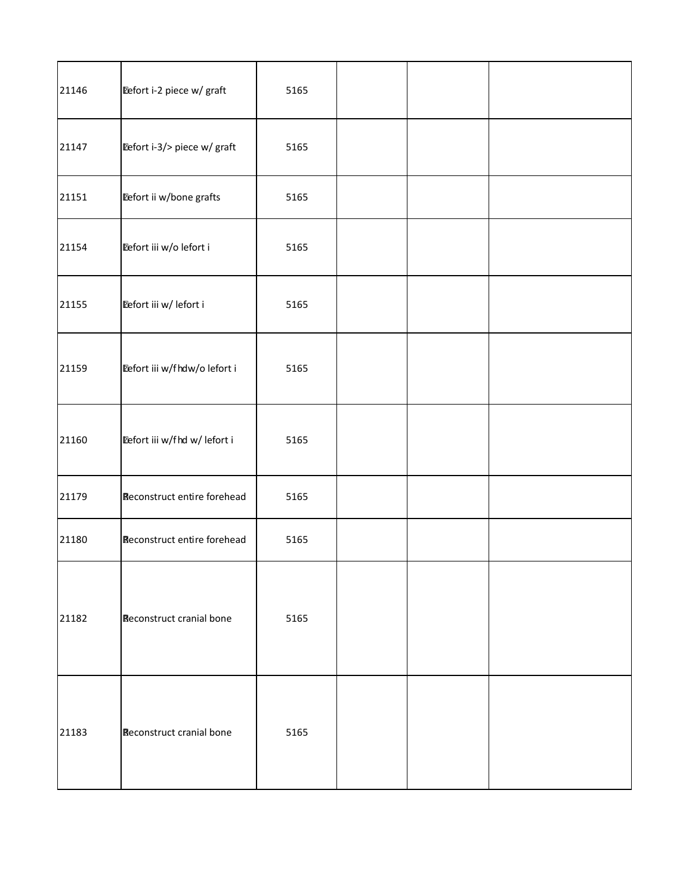| 21146 | Defort i-2 piece w/ graft          | 5165 |  |  |
|-------|------------------------------------|------|--|--|
| 21147 | Eefort i-3/> piece w/ graft        | 5165 |  |  |
| 21151 | Defort ii w/bone grafts            | 5165 |  |  |
| 21154 | Eefort iii w/o lefort i            | 5165 |  |  |
| 21155 | Eefort iii w/ lefort i             | 5165 |  |  |
| 21159 | Defort iii w/fhdw/o lefort i       | 5165 |  |  |
| 21160 | Defort iii w/fhd w/ lefort i       | 5165 |  |  |
| 21179 | <b>Reconstruct entire forehead</b> | 5165 |  |  |
| 21180 | <b>Reconstruct entire forehead</b> | 5165 |  |  |
| 21182 | Reconstruct cranial bone           | 5165 |  |  |
| 21183 | Reconstruct cranial bone           | 5165 |  |  |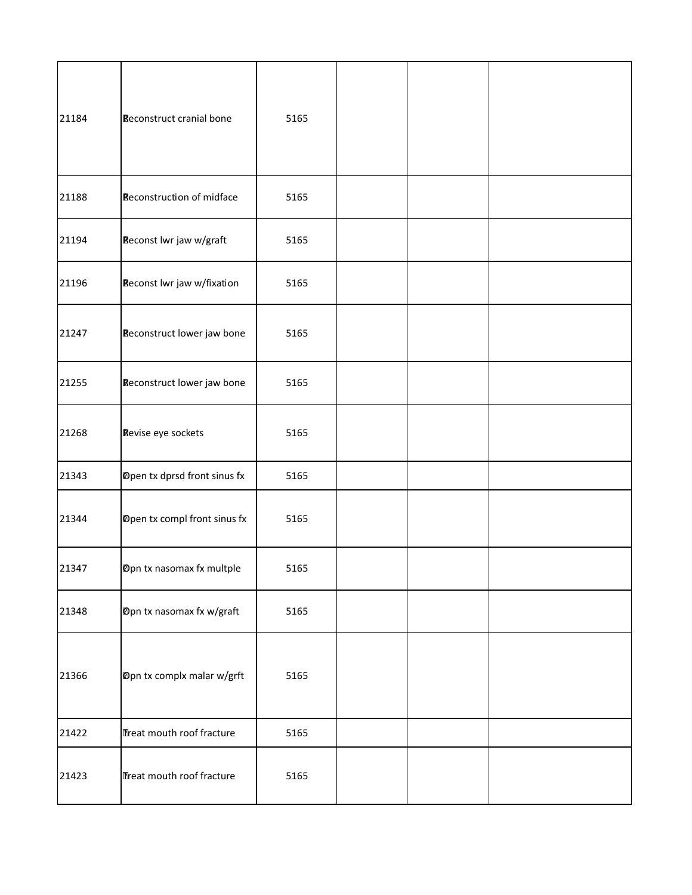| 21184 | <b>Reconstruct cranial bone</b> | 5165 |  |  |
|-------|---------------------------------|------|--|--|
| 21188 | Reconstruction of midface       | 5165 |  |  |
| 21194 | Reconst lwr jaw w/graft         | 5165 |  |  |
| 21196 | Reconst lwr jaw w/fixation      | 5165 |  |  |
| 21247 | Reconstruct lower jaw bone      | 5165 |  |  |
| 21255 | Reconstruct lower jaw bone      | 5165 |  |  |
| 21268 | Revise eye sockets              | 5165 |  |  |
| 21343 | Dpen tx dprsd front sinus fx    | 5165 |  |  |
| 21344 | Dpen tx compl front sinus fx    | 5165 |  |  |
| 21347 | Dpn tx nasomax fx multple       | 5165 |  |  |
| 21348 | Dpn tx nasomax fx w/graft       | 5165 |  |  |
| 21366 | Dpn tx complx malar w/grft      | 5165 |  |  |
| 21422 | Treat mouth roof fracture       | 5165 |  |  |
| 21423 | Treat mouth roof fracture       | 5165 |  |  |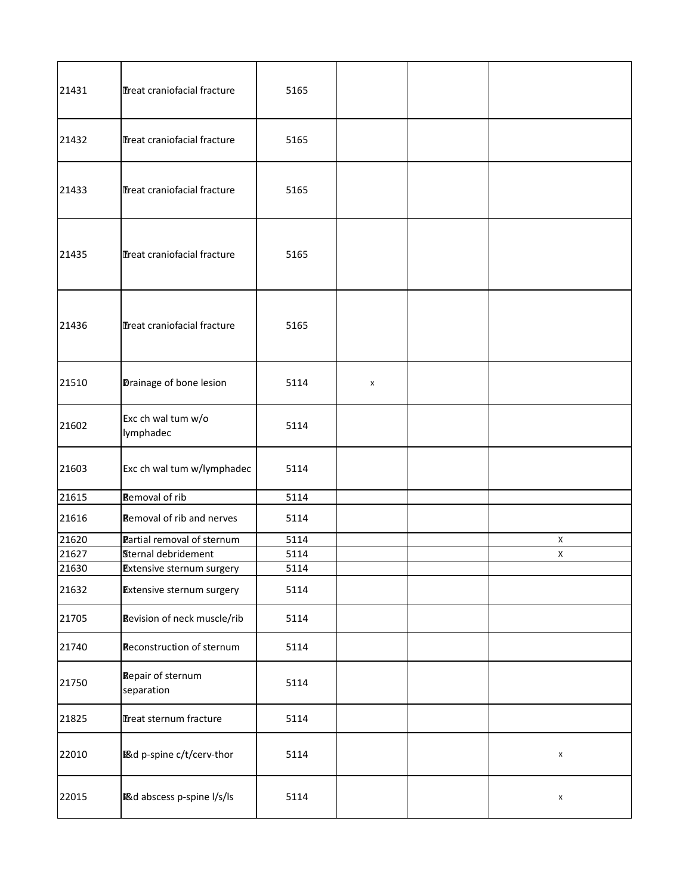| 21431 | Treat craniofacial fracture            | 5165 |   |                    |
|-------|----------------------------------------|------|---|--------------------|
| 21432 | Treat craniofacial fracture            | 5165 |   |                    |
| 21433 | Treat craniofacial fracture            | 5165 |   |                    |
| 21435 | Treat craniofacial fracture            | 5165 |   |                    |
| 21436 | Treat craniofacial fracture            | 5165 |   |                    |
| 21510 | Drainage of bone lesion                | 5114 | x |                    |
| 21602 | Exc ch wal tum w/o<br>lymphadec        | 5114 |   |                    |
| 21603 | Exc ch wal tum w/lymphadec             | 5114 |   |                    |
| 21615 | Removal of rib                         | 5114 |   |                    |
| 21616 | <b>Removal of rib and nerves</b>       | 5114 |   |                    |
| 21620 | Partial removal of sternum             | 5114 |   | $\mathsf{X}$       |
| 21627 | Sternal debridement                    | 5114 |   | X                  |
| 21630 | Extensive sternum surgery              | 5114 |   |                    |
| 21632 | <b>Extensive sternum surgery</b>       | 5114 |   |                    |
| 21705 | Revision of neck muscle/rib            | 5114 |   |                    |
| 21740 | Reconstruction of sternum              | 5114 |   |                    |
| 21750 | <b>Repair of sternum</b><br>separation | 5114 |   |                    |
| 21825 | Treat sternum fracture                 | 5114 |   |                    |
| 22010 | <b>图d p-spine c/t/cerv-thor</b>        | 5114 |   | $\pmb{\mathsf{x}}$ |
| 22015 | <b>图d abscess p-spine l/s/ls</b>       | 5114 |   | $\pmb{\mathsf{x}}$ |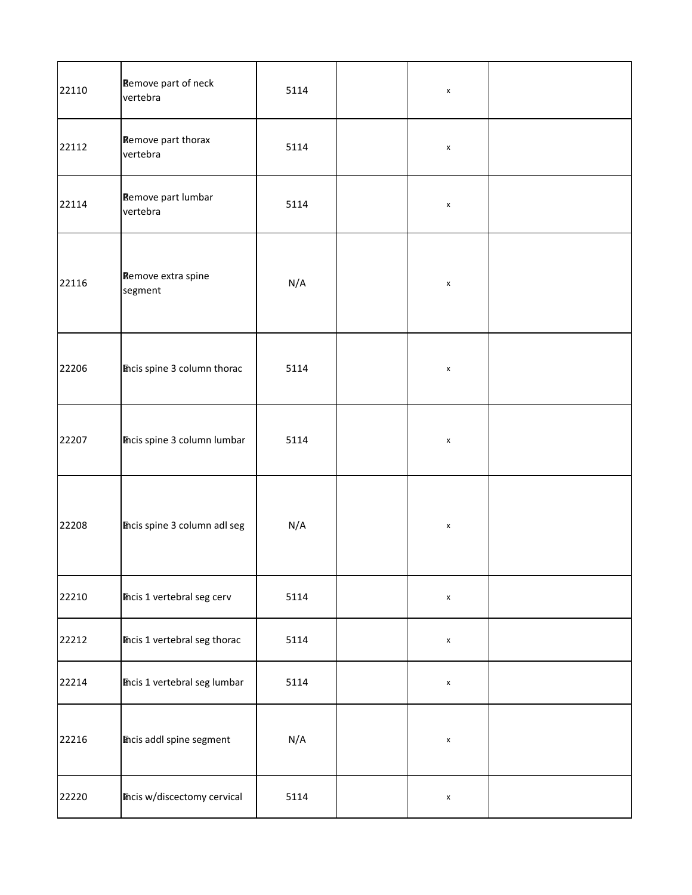| 22110 | <b>Remove part of neck</b><br>vertebra | 5114 | $\pmb{\mathsf{x}}$ |  |
|-------|----------------------------------------|------|--------------------|--|
| 22112 | Remove part thorax<br>vertebra         | 5114 | $\pmb{\mathsf{x}}$ |  |
| 22114 | Remove part lumbar<br>vertebra         | 5114 | $\pmb{\mathsf{x}}$ |  |
| 22116 | Remove extra spine<br>segment          | N/A  | $\pmb{\mathsf{x}}$ |  |
| 22206 | Theis spine 3 column thorac            | 5114 | $\pmb{\mathsf{x}}$ |  |
| 22207 | mcis spine 3 column lumbar             | 5114 | $\pmb{\mathsf{x}}$ |  |
| 22208 | mcis spine 3 column adl seg            | N/A  | $\pmb{\mathsf{x}}$ |  |
| 22210 | <b>Thcis 1 vertebral seg cerv</b>      | 5114 | $\pmb{\mathsf{x}}$ |  |
| 22212 | mcis 1 vertebral seg thorac            | 5114 | $\pmb{\mathsf{x}}$ |  |
| 22214 | <b>Micis 1 vertebral seg lumbar</b>    | 5114 | $\pmb{\mathsf{x}}$ |  |
| 22216 | <b>Incis addl spine segment</b>        | N/A  | $\pmb{\mathsf{x}}$ |  |
| 22220 | <b>Thcis w/discectomy cervical</b>     | 5114 | $\pmb{\mathsf{x}}$ |  |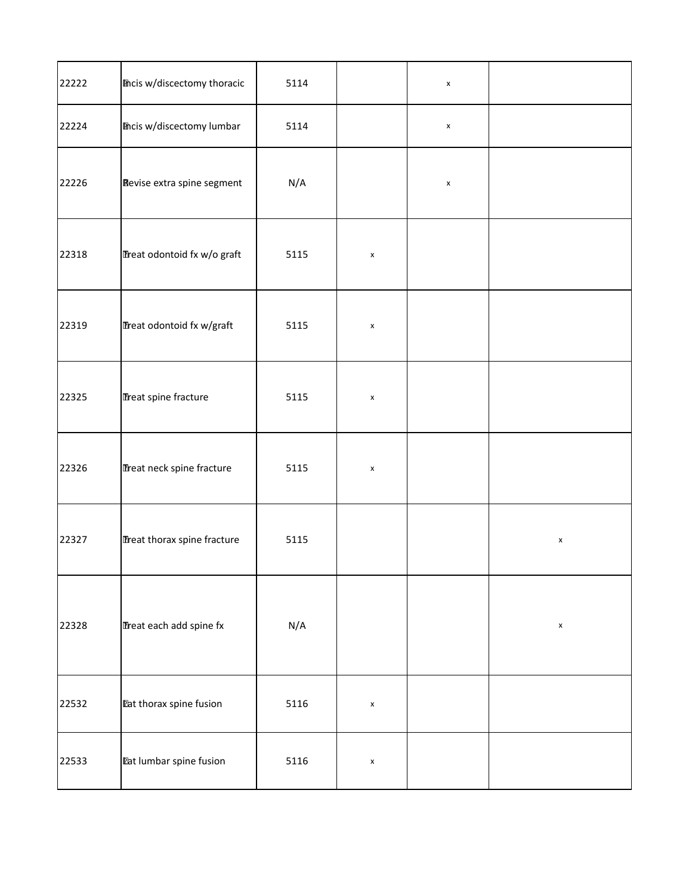| 22222 | <b>Theis w/discectomy thoracic</b> | 5114 |                    | $\pmb{\mathsf{x}}$ |                    |
|-------|------------------------------------|------|--------------------|--------------------|--------------------|
| 22224 | <b>Incis w/discectomy lumbar</b>   | 5114 |                    | $\pmb{\mathsf{x}}$ |                    |
| 22226 | Revise extra spine segment         | N/A  |                    | $\pmb{\mathsf{x}}$ |                    |
| 22318 | Treat odontoid fx w/o graft        | 5115 | $\pmb{\mathsf{x}}$ |                    |                    |
| 22319 | Treat odontoid fx w/graft          | 5115 | $\pmb{\mathsf{x}}$ |                    |                    |
| 22325 | Treat spine fracture               | 5115 | $\pmb{\mathsf{x}}$ |                    |                    |
| 22326 | Treat neck spine fracture          | 5115 | $\pmb{\mathsf{x}}$ |                    |                    |
| 22327 | Treat thorax spine fracture        | 5115 |                    |                    | $\pmb{\mathsf{x}}$ |
| 22328 | Treat each add spine fx            | N/A  |                    |                    | $\pmb{\mathsf{x}}$ |
| 22532 | <b>Eat thorax spine fusion</b>     | 5116 | $\pmb{\mathsf{x}}$ |                    |                    |
| 22533 | <b>Pat lumbar spine fusion</b>     | 5116 | $\pmb{\mathsf{x}}$ |                    |                    |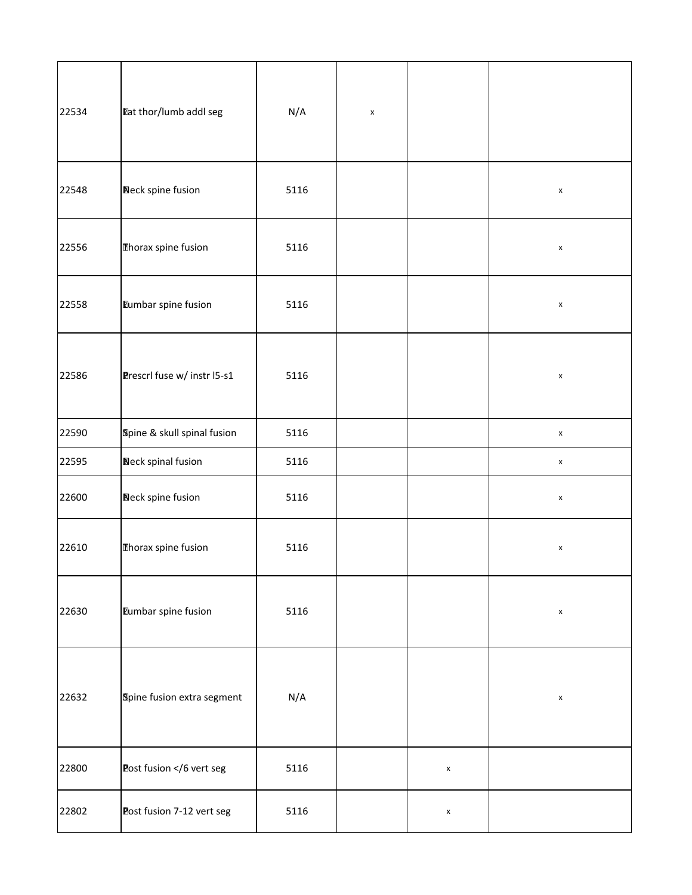| 22534 | Eat thor/lumb addl seg                                                                                               | N/A  | $\pmb{\mathsf{x}}$ |                    |                    |
|-------|----------------------------------------------------------------------------------------------------------------------|------|--------------------|--------------------|--------------------|
| 22548 | <b>Neck spine fusion</b>                                                                                             | 5116 |                    |                    | $\pmb{\mathsf{x}}$ |
| 22556 | Thorax spine fusion                                                                                                  | 5116 |                    |                    | $\pmb{\mathsf{x}}$ |
| 22558 | Eumbar spine fusion                                                                                                  | 5116 |                    |                    | $\pmb{\mathsf{x}}$ |
| 22586 | Prescrl fuse w/ instr I5-s1                                                                                          | 5116 |                    |                    | $\pmb{\mathsf{x}}$ |
| 22590 | Spine & skull spinal fusion                                                                                          | 5116 |                    |                    | $\pmb{\mathsf{x}}$ |
| 22595 | Neck spinal fusion                                                                                                   | 5116 |                    |                    | $\pmb{\mathsf{X}}$ |
| 22600 | Neck spine fusion                                                                                                    | 5116 |                    |                    | $\pmb{\mathsf{x}}$ |
| 22610 | Thorax spine fusion                                                                                                  | 5116 |                    |                    | $\pmb{\times}$     |
| 22630 | Eumbar spine fusion                                                                                                  | 5116 |                    |                    | $\pmb{\mathsf{x}}$ |
| 22632 | Spine fusion extra segment                                                                                           | N/A  |                    |                    | $\pmb{\mathsf{x}}$ |
| 22800 | Post fusion 6 vert seg</td <td>5116</td> <td></td> <td><math display="inline">\pmb{\mathsf{x}}</math></td> <td></td> | 5116 |                    | $\pmb{\mathsf{x}}$ |                    |
| 22802 | Post fusion 7-12 vert seg                                                                                            | 5116 |                    | $\pmb{\mathsf{x}}$ |                    |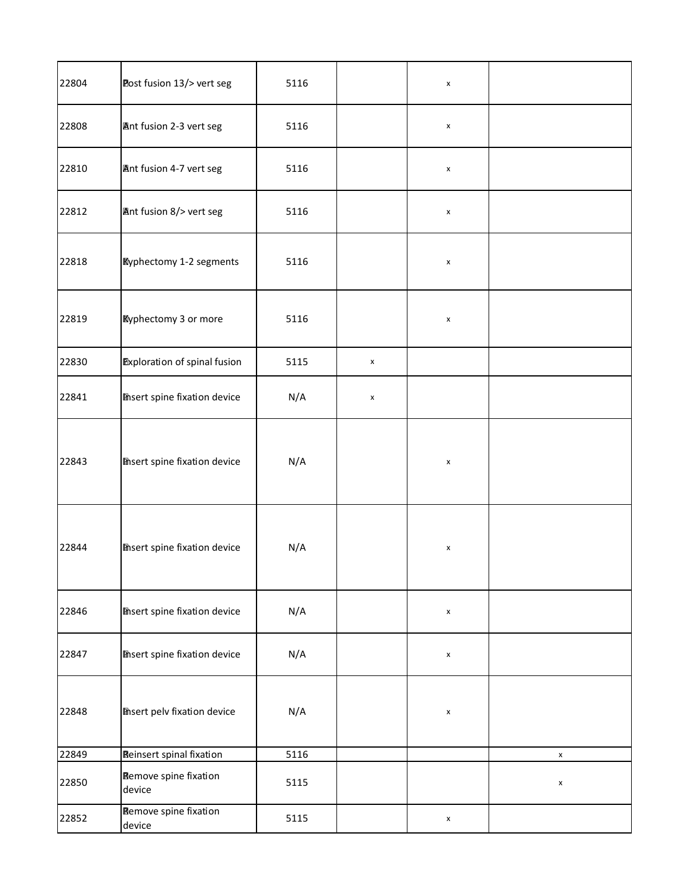| 22804 | Post fusion 13/> vert seg              | 5116 |                    | $\pmb{\times}$     |                    |
|-------|----------------------------------------|------|--------------------|--------------------|--------------------|
| 22808 | Ant fusion 2-3 vert seg                | 5116 |                    | $\pmb{\mathsf{x}}$ |                    |
| 22810 | Ant fusion 4-7 vert seg                | 5116 |                    | X                  |                    |
| 22812 | Ant fusion 8/> vert seg                | 5116 |                    | $\pmb{\times}$     |                    |
| 22818 | <b>Kyphectomy 1-2 segments</b>         | 5116 |                    | $\pmb{\mathsf{x}}$ |                    |
| 22819 | <b>Eyphectomy 3 or more</b>            | 5116 |                    | $\pmb{\mathsf{x}}$ |                    |
| 22830 | <b>Exploration of spinal fusion</b>    | 5115 | $\pmb{\mathsf{x}}$ |                    |                    |
| 22841 | <b>Insert spine fixation device</b>    | N/A  | $\pmb{\mathsf{x}}$ |                    |                    |
| 22843 | <b>Thsert spine fixation device</b>    | N/A  |                    | $\pmb{\times}$     |                    |
| 22844 | <b>Thsert spine fixation device</b>    | N/A  |                    | $\pmb{\mathsf{x}}$ |                    |
| 22846 | <b>Misert spine fixation device</b>    | N/A  |                    | $\pmb{\times}$     |                    |
| 22847 | <b>Insert spine fixation device</b>    | N/A  |                    | $\pmb{\mathsf{x}}$ |                    |
| 22848 | <b>Insert pelv fixation device</b>     | N/A  |                    | $\pmb{\times}$     |                    |
| 22849 | <b>Reinsert spinal fixation</b>        | 5116 |                    |                    | $\pmb{\mathsf{x}}$ |
| 22850 | <b>Remove spine fixation</b><br>device | 5115 |                    |                    | $\pmb{\mathsf{x}}$ |
| 22852 | Remove spine fixation<br>device        | 5115 |                    | $\pmb{\mathsf{x}}$ |                    |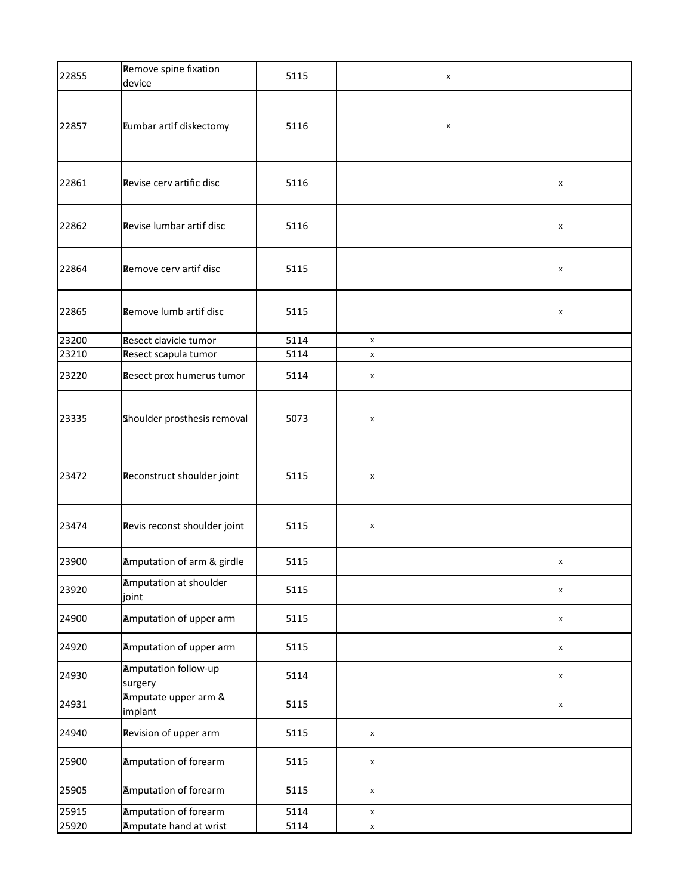| 22855 | <b>Remove spine fixation</b><br>device | 5115 |                    | X |                    |
|-------|----------------------------------------|------|--------------------|---|--------------------|
| 22857 | Eumbar artif diskectomy                | 5116 |                    | X |                    |
| 22861 | Revise cerv artific disc               | 5116 |                    |   | X                  |
| 22862 | Revise lumbar artif disc               | 5116 |                    |   | X                  |
| 22864 | Remove cerv artif disc                 | 5115 |                    |   | X                  |
| 22865 | <b>Remove lumb artif disc</b>          | 5115 |                    |   | X                  |
| 23200 | <b>Resect clavicle tumor</b>           | 5114 | X                  |   |                    |
| 23210 | Resect scapula tumor                   | 5114 | x                  |   |                    |
| 23220 | Resect prox humerus tumor              | 5114 | X                  |   |                    |
| 23335 | Shoulder prosthesis removal            | 5073 | x                  |   |                    |
| 23472 | Reconstruct shoulder joint             | 5115 | x                  |   |                    |
| 23474 | Revis reconst shoulder joint           | 5115 | x                  |   |                    |
| 23900 | <b>Amputation of arm &amp; girdle</b>  | 5115 |                    |   | x                  |
| 23920 | <b>Amputation at shoulder</b><br>joint | 5115 |                    |   | $\pmb{\mathsf{x}}$ |
| 24900 | <b>Amputation of upper arm</b>         | 5115 |                    |   | $\pmb{\mathsf{x}}$ |
| 24920 | <b>Amputation of upper arm</b>         | 5115 |                    |   | $\pmb{\mathsf{x}}$ |
| 24930 | <b>Amputation follow-up</b><br>surgery | 5114 |                    |   | X                  |
| 24931 | Amputate upper arm &<br>implant        | 5115 |                    |   | X                  |
| 24940 | Revision of upper arm                  | 5115 | x                  |   |                    |
| 25900 | <b>Amputation of forearm</b>           | 5115 | x                  |   |                    |
| 25905 | <b>Amputation of forearm</b>           | 5115 | x                  |   |                    |
| 25915 | <b>Amputation of forearm</b>           | 5114 | X                  |   |                    |
| 25920 | <b>Amputate hand at wrist</b>          | 5114 | $\pmb{\mathsf{x}}$ |   |                    |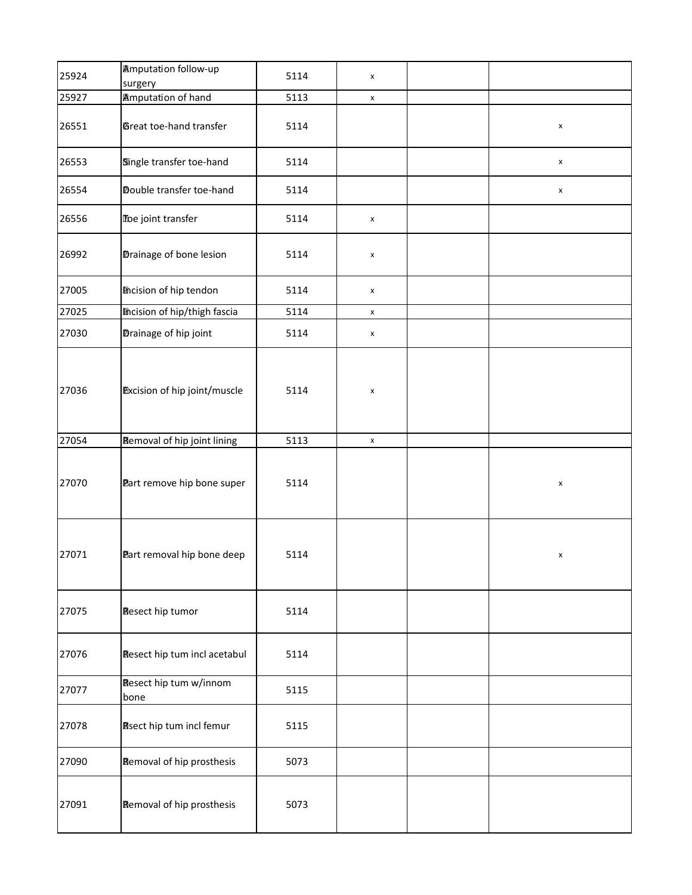| 25924 | <b>Amputation follow-up</b><br>surgery | 5114 | x                  |                |
|-------|----------------------------------------|------|--------------------|----------------|
| 25927 | <b>Amputation of hand</b>              | 5113 | $\pmb{\mathsf{X}}$ |                |
| 26551 | Great toe-hand transfer                | 5114 |                    | x              |
| 26553 | Single transfer toe-hand               | 5114 |                    | X              |
| 26554 | Double transfer toe-hand               | 5114 |                    | X              |
| 26556 | Toe joint transfer                     | 5114 | $\pmb{\mathsf{x}}$ |                |
| 26992 | Drainage of bone lesion                | 5114 | x                  |                |
| 27005 | <b>Incision of hip tendon</b>          | 5114 | $\pmb{\mathsf{x}}$ |                |
| 27025 | <b>Incision of hip/thigh fascia</b>    | 5114 | $\pmb{\mathsf{x}}$ |                |
| 27030 | Drainage of hip joint                  | 5114 | $\pmb{\mathsf{x}}$ |                |
| 27036 | <b>Excision of hip joint/muscle</b>    | 5114 | $\pmb{\mathsf{x}}$ |                |
| 27054 | <b>Removal of hip joint lining</b>     | 5113 | $\pmb{\mathsf{x}}$ |                |
| 27070 | Part remove hip bone super             | 5114 |                    | $\pmb{\times}$ |
| 27071 | Part removal hip bone deep             | 5114 |                    | x              |
| 27075 | <b>Resect hip tumor</b>                | 5114 |                    |                |
| 27076 | Resect hip tum incl acetabul           | 5114 |                    |                |
| 27077 | Resect hip tum w/innom<br>bone         | 5115 |                    |                |
| 27078 | <b>Rsect hip tum incl femur</b>        | 5115 |                    |                |
| 27090 | <b>Removal of hip prosthesis</b>       | 5073 |                    |                |
| 27091 | <b>Removal of hip prosthesis</b>       | 5073 |                    |                |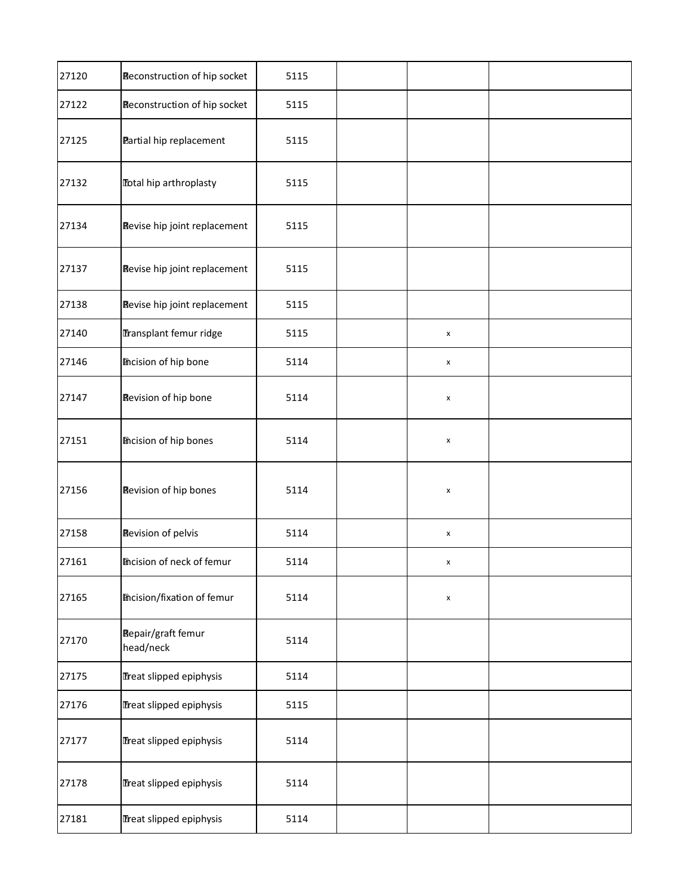| 27120 | Reconstruction of hip socket           | 5115 |                    |  |
|-------|----------------------------------------|------|--------------------|--|
| 27122 | Reconstruction of hip socket           | 5115 |                    |  |
| 27125 | Partial hip replacement                | 5115 |                    |  |
| 27132 | <b>Total hip arthroplasty</b>          | 5115 |                    |  |
| 27134 | Revise hip joint replacement           | 5115 |                    |  |
| 27137 | Revise hip joint replacement           | 5115 |                    |  |
| 27138 | Revise hip joint replacement           | 5115 |                    |  |
| 27140 | Transplant femur ridge                 | 5115 | $\pmb{\mathsf{x}}$ |  |
| 27146 | <b>Incision of hip bone</b>            | 5114 | $\pmb{\mathsf{x}}$ |  |
| 27147 | Revision of hip bone                   | 5114 | $\pmb{\mathsf{x}}$ |  |
| 27151 | <b>Incision of hip bones</b>           | 5114 | $\pmb{\mathsf{X}}$ |  |
| 27156 | Revision of hip bones                  | 5114 | $\pmb{\mathsf{x}}$ |  |
| 27158 | <b>Revision of pelvis</b>              | 5114 | $\pmb{\mathsf{x}}$ |  |
| 27161 | <b>Incision of neck of femur</b>       | 5114 | X                  |  |
| 27165 | <b>Incision/fixation of femur</b>      | 5114 | x                  |  |
| 27170 | <b>Repair/graft femur</b><br>head/neck | 5114 |                    |  |
| 27175 | Treat slipped epiphysis                | 5114 |                    |  |
| 27176 | Treat slipped epiphysis                | 5115 |                    |  |
| 27177 | Treat slipped epiphysis                | 5114 |                    |  |
| 27178 | Treat slipped epiphysis                | 5114 |                    |  |
| 27181 | Treat slipped epiphysis                | 5114 |                    |  |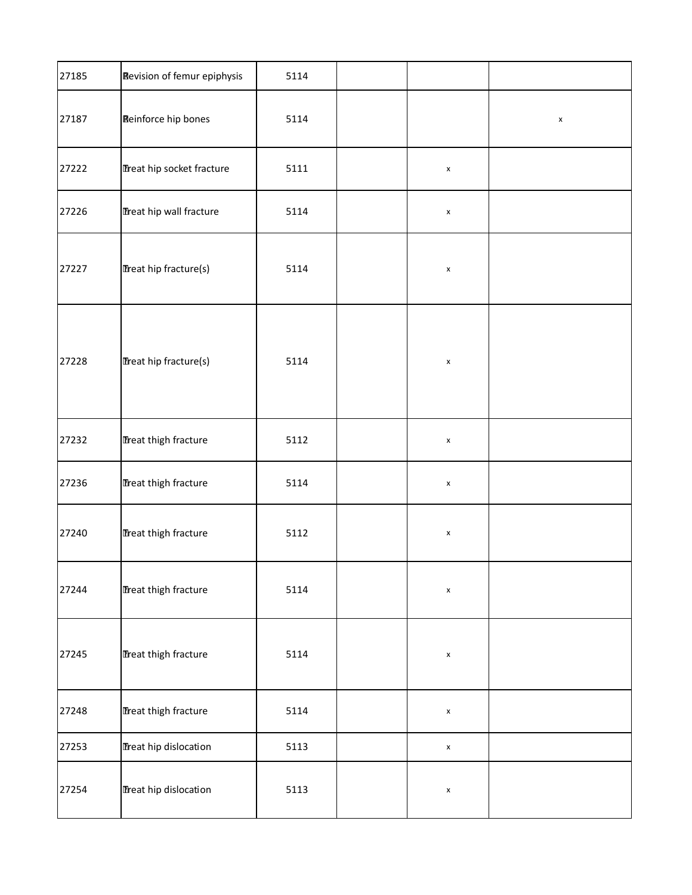| 27185 | <b>Revision of femur epiphysis</b> | 5114 |                    |                |
|-------|------------------------------------|------|--------------------|----------------|
| 27187 | <b>Reinforce hip bones</b>         | 5114 |                    | $\pmb{\times}$ |
| 27222 | Treat hip socket fracture          | 5111 | $\pmb{\mathsf{x}}$ |                |
| 27226 | Treat hip wall fracture            | 5114 | $\pmb{\mathsf{x}}$ |                |
| 27227 | Treat hip fracture(s)              | 5114 | $\pmb{\mathsf{X}}$ |                |
| 27228 | Treat hip fracture(s)              | 5114 | $\pmb{\times}$     |                |
| 27232 | Treat thigh fracture               | 5112 | $\pmb{\mathsf{x}}$ |                |
| 27236 | Treat thigh fracture               | 5114 | $\pmb{\times}$     |                |
| 27240 | Treat thigh fracture               | 5112 | $\pmb{\mathsf{x}}$ |                |
| 27244 | Treat thigh fracture               | 5114 | $\pmb{\mathsf{x}}$ |                |
| 27245 | Treat thigh fracture               | 5114 | $\pmb{\mathsf{x}}$ |                |
| 27248 | Treat thigh fracture               | 5114 | $\pmb{\times}$     |                |
| 27253 | Treat hip dislocation              | 5113 | $\pmb{\mathsf{x}}$ |                |
| 27254 | Treat hip dislocation              | 5113 | $\pmb{\mathsf{x}}$ |                |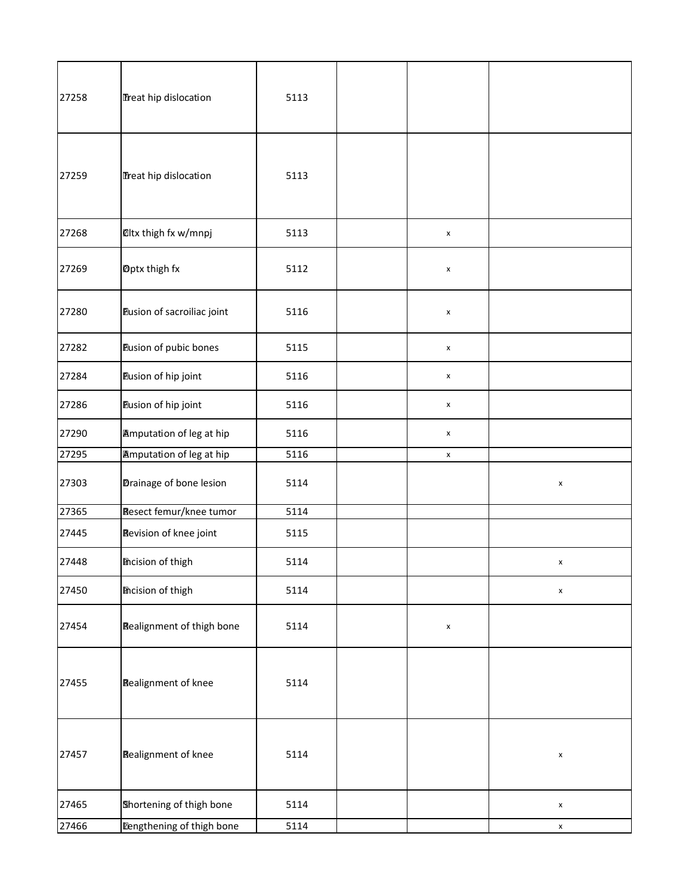| 27258 | Treat hip dislocation            | 5113 |                    |                    |
|-------|----------------------------------|------|--------------------|--------------------|
| 27259 | Treat hip dislocation            | 5113 |                    |                    |
| 27268 | <b>Oltx thigh fx w/mnpj</b>      | 5113 | $\pmb{\mathsf{x}}$ |                    |
| 27269 | Dptx thigh fx                    | 5112 | $\pmb{\times}$     |                    |
| 27280 | Eusion of sacroiliac joint       | 5116 | $\pmb{\mathsf{x}}$ |                    |
| 27282 | Eusion of pubic bones            | 5115 | $\pmb{\mathsf{x}}$ |                    |
| 27284 | Eusion of hip joint              | 5116 | X                  |                    |
| 27286 | Eusion of hip joint              | 5116 | $\pmb{\times}$     |                    |
| 27290 | <b>Amputation of leg at hip</b>  | 5116 | x                  |                    |
| 27295 | <b>Amputation of leg at hip</b>  | 5116 | $\pmb{\mathsf{x}}$ |                    |
| 27303 | Drainage of bone lesion          | 5114 |                    | $\pmb{\times}$     |
| 27365 | Resect femur/knee tumor          | 5114 |                    |                    |
| 27445 | Revision of knee joint           | 5115 |                    |                    |
| 27448 | <b>Incision of thigh</b>         | 5114 |                    | x                  |
| 27450 | <b>Incision of thigh</b>         | 5114 |                    | $\pmb{\mathsf{x}}$ |
| 27454 | <b>Realignment of thigh bone</b> | 5114 | x                  |                    |
| 27455 | <b>Realignment of knee</b>       | 5114 |                    |                    |
| 27457 | <b>Realignment of knee</b>       | 5114 |                    | $\pmb{\mathsf{x}}$ |
| 27465 | Shortening of thigh bone         | 5114 |                    | $\pmb{\mathsf{x}}$ |
| 27466 | <b>Lengthening of thigh bone</b> | 5114 |                    | $\pmb{\mathsf{X}}$ |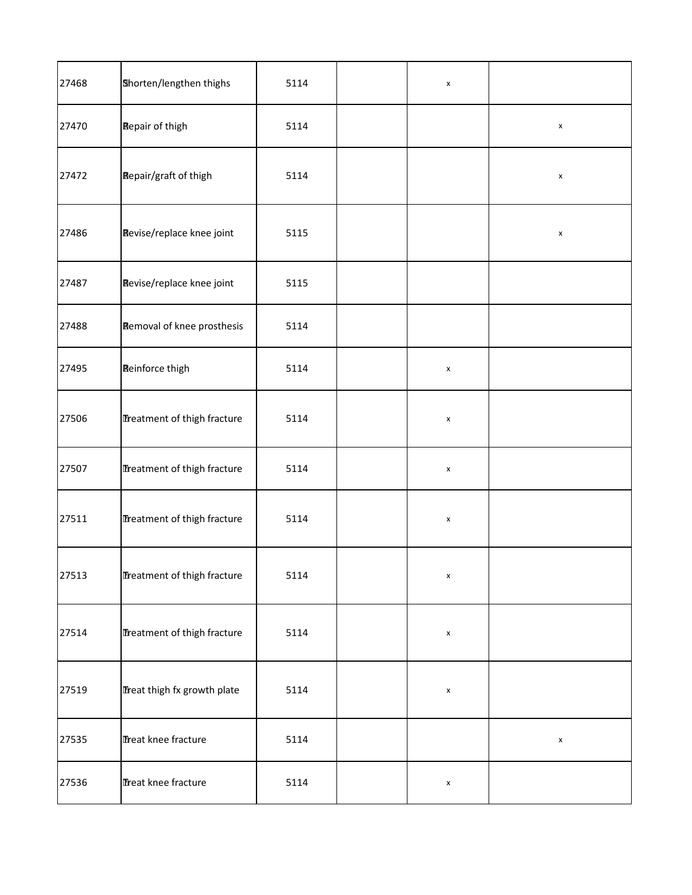| 27468 | Shorten/lengthen thighs     | 5114 | $\pmb{\mathsf{x}}$ |                    |
|-------|-----------------------------|------|--------------------|--------------------|
| 27470 | <b>Repair of thigh</b>      | 5114 |                    | $\pmb{\mathsf{x}}$ |
| 27472 | Repair/graft of thigh       | 5114 |                    | $\pmb{\mathsf{x}}$ |
| 27486 | Revise/replace knee joint   | 5115 |                    | $\pmb{\mathsf{x}}$ |
| 27487 | Revise/replace knee joint   | 5115 |                    |                    |
| 27488 | Removal of knee prosthesis  | 5114 |                    |                    |
| 27495 | <b>Reinforce thigh</b>      | 5114 | $\pmb{\mathsf{x}}$ |                    |
| 27506 | Treatment of thigh fracture | 5114 | $\pmb{\mathsf{x}}$ |                    |
| 27507 | Treatment of thigh fracture | 5114 | $\pmb{\mathsf{x}}$ |                    |
| 27511 | Treatment of thigh fracture | 5114 | $\pmb{\mathsf{x}}$ |                    |
| 27513 | Treatment of thigh fracture | 5114 | $\pmb{\mathsf{x}}$ |                    |
| 27514 | Treatment of thigh fracture | 5114 | $\pmb{\mathsf{x}}$ |                    |
| 27519 | Treat thigh fx growth plate | 5114 | $\pmb{\mathsf{x}}$ |                    |
| 27535 | Treat knee fracture         | 5114 |                    | $\pmb{\mathsf{x}}$ |
| 27536 | Treat knee fracture         | 5114 | $\pmb{\mathsf{x}}$ |                    |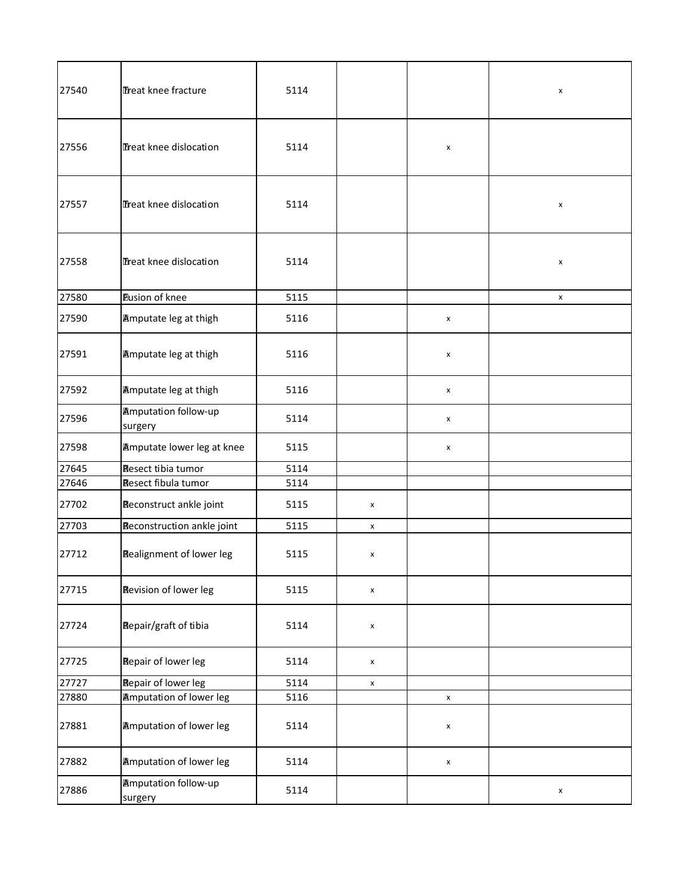| 27540 | Treat knee fracture                    | 5114 |                    |                    | x                  |
|-------|----------------------------------------|------|--------------------|--------------------|--------------------|
| 27556 | Treat knee dislocation                 | 5114 |                    | x                  |                    |
| 27557 | Treat knee dislocation                 | 5114 |                    |                    | x                  |
| 27558 | Treat knee dislocation                 | 5114 |                    |                    | X                  |
| 27580 | <b>Eusion of knee</b>                  | 5115 |                    |                    | x                  |
| 27590 | <b>Amputate leg at thigh</b>           | 5116 |                    | X                  |                    |
| 27591 | <b>Amputate leg at thigh</b>           | 5116 |                    | x                  |                    |
| 27592 | <b>Amputate leg at thigh</b>           | 5116 |                    | x                  |                    |
| 27596 | <b>Amputation follow-up</b><br>surgery | 5114 |                    | x                  |                    |
| 27598 | <b>Amputate lower leg at knee</b>      | 5115 |                    | X                  |                    |
| 27645 | Resect tibia tumor                     | 5114 |                    |                    |                    |
| 27646 | Resect fibula tumor                    | 5114 |                    |                    |                    |
| 27702 | Reconstruct ankle joint                | 5115 | X                  |                    |                    |
| 27703 | Reconstruction ankle joint             | 5115 | $\pmb{\mathsf{X}}$ |                    |                    |
| 27712 | <b>Realignment of lower leg</b>        | 5115 | x                  |                    |                    |
| 27715 | <b>Revision of lower leg</b>           | 5115 | $\pmb{\mathsf{x}}$ |                    |                    |
| 27724 | <b>Repair/graft of tibia</b>           | 5114 | x                  |                    |                    |
| 27725 | <b>Repair of lower leg</b>             | 5114 | X                  |                    |                    |
| 27727 | <b>Repair of lower leg</b>             | 5114 | $\pmb{\mathsf{X}}$ |                    |                    |
| 27880 | <b>Amputation of lower leg</b>         | 5116 |                    | $\pmb{\mathsf{x}}$ |                    |
| 27881 | <b>Amputation of lower leg</b>         | 5114 |                    | x                  |                    |
| 27882 | <b>Amputation of lower leg</b>         | 5114 |                    | $\pmb{\mathsf{x}}$ |                    |
| 27886 | <b>Amputation follow-up</b><br>surgery | 5114 |                    |                    | $\pmb{\mathsf{x}}$ |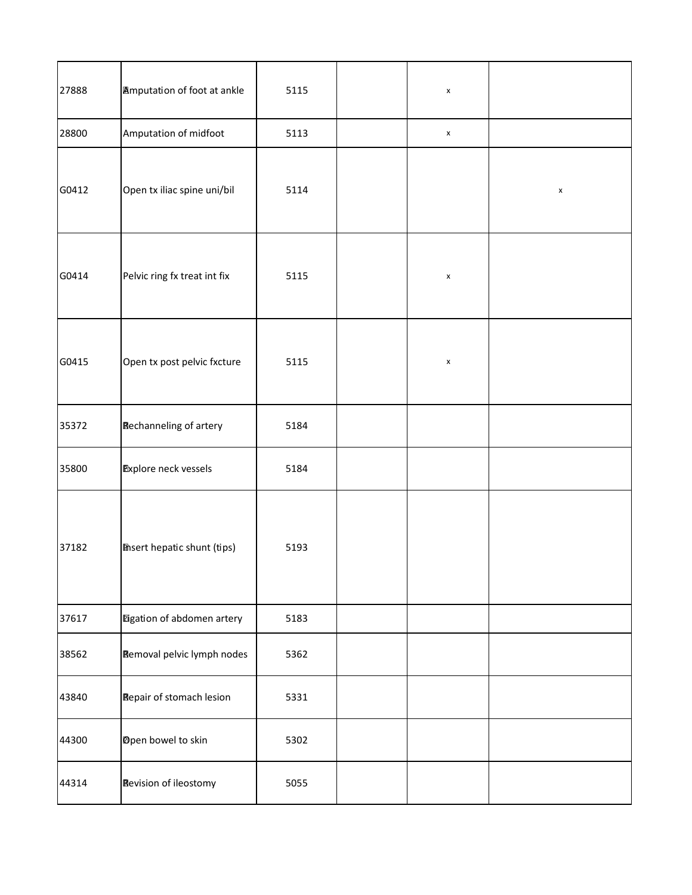| 27888 | <b>Amputation of foot at ankle</b> | 5115 | $\pmb{\mathsf{x}}$ |                    |
|-------|------------------------------------|------|--------------------|--------------------|
| 28800 | Amputation of midfoot              | 5113 | $\pmb{\mathsf{x}}$ |                    |
| G0412 | Open tx iliac spine uni/bil        | 5114 |                    | $\pmb{\mathsf{x}}$ |
| G0414 | Pelvic ring fx treat int fix       | 5115 | $\pmb{\mathsf{x}}$ |                    |
| G0415 | Open tx post pelvic fxcture        | 5115 | $\pmb{\mathsf{x}}$ |                    |
| 35372 | Rechanneling of artery             | 5184 |                    |                    |
| 35800 | <b>Explore neck vessels</b>        | 5184 |                    |                    |
| 37182 | <b>Thsert hepatic shunt (tips)</b> | 5193 |                    |                    |
| 37617 | Eigation of abdomen artery         | 5183 |                    |                    |
| 38562 | <b>Removal pelvic lymph nodes</b>  | 5362 |                    |                    |
| 43840 | Repair of stomach lesion           | 5331 |                    |                    |
| 44300 | Dpen bowel to skin                 | 5302 |                    |                    |
| 44314 | Revision of ileostomy              | 5055 |                    |                    |